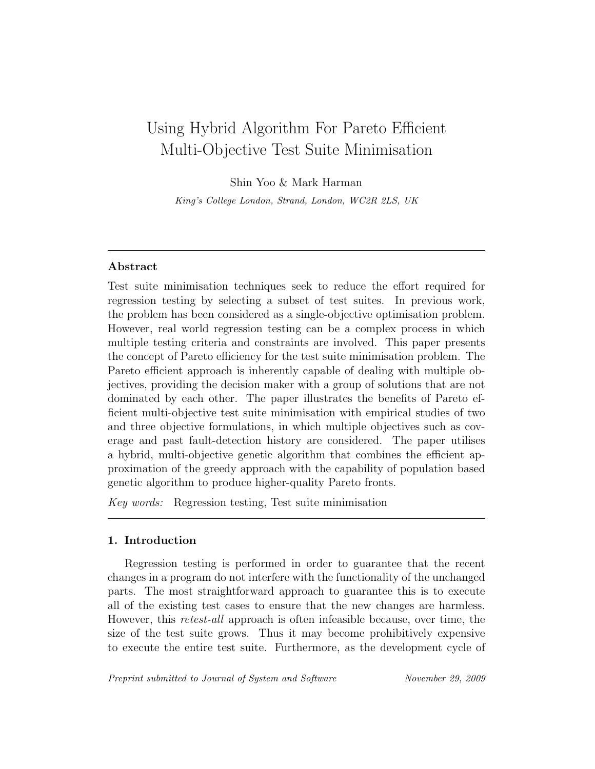# Using Hybrid Algorithm For Pareto Efficient Multi-Objective Test Suite Minimisation

Shin Yoo & Mark Harman

King's College London, Strand, London, WC2R 2LS, UK

## Abstract

Test suite minimisation techniques seek to reduce the effort required for regression testing by selecting a subset of test suites. In previous work, the problem has been considered as a single-objective optimisation problem. However, real world regression testing can be a complex process in which multiple testing criteria and constraints are involved. This paper presents the concept of Pareto efficiency for the test suite minimisation problem. The Pareto efficient approach is inherently capable of dealing with multiple objectives, providing the decision maker with a group of solutions that are not dominated by each other. The paper illustrates the benefits of Pareto efficient multi-objective test suite minimisation with empirical studies of two and three objective formulations, in which multiple objectives such as coverage and past fault-detection history are considered. The paper utilises a hybrid, multi-objective genetic algorithm that combines the efficient approximation of the greedy approach with the capability of population based genetic algorithm to produce higher-quality Pareto fronts.

Key words: Regression testing, Test suite minimisation

## 1. Introduction

Regression testing is performed in order to guarantee that the recent changes in a program do not interfere with the functionality of the unchanged parts. The most straightforward approach to guarantee this is to execute all of the existing test cases to ensure that the new changes are harmless. However, this retest-all approach is often infeasible because, over time, the size of the test suite grows. Thus it may become prohibitively expensive to execute the entire test suite. Furthermore, as the development cycle of

Preprint submitted to Journal of System and Software November 29, 2009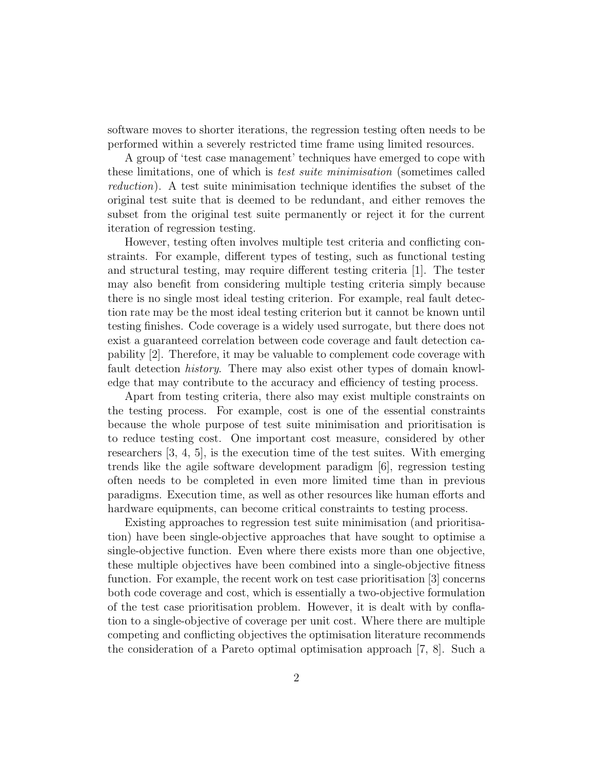software moves to shorter iterations, the regression testing often needs to be performed within a severely restricted time frame using limited resources.

A group of 'test case management' techniques have emerged to cope with these limitations, one of which is test suite minimisation (sometimes called reduction). A test suite minimisation technique identifies the subset of the original test suite that is deemed to be redundant, and either removes the subset from the original test suite permanently or reject it for the current iteration of regression testing.

However, testing often involves multiple test criteria and conflicting constraints. For example, different types of testing, such as functional testing and structural testing, may require different testing criteria [1]. The tester may also benefit from considering multiple testing criteria simply because there is no single most ideal testing criterion. For example, real fault detection rate may be the most ideal testing criterion but it cannot be known until testing finishes. Code coverage is a widely used surrogate, but there does not exist a guaranteed correlation between code coverage and fault detection capability [2]. Therefore, it may be valuable to complement code coverage with fault detection history. There may also exist other types of domain knowledge that may contribute to the accuracy and efficiency of testing process.

Apart from testing criteria, there also may exist multiple constraints on the testing process. For example, cost is one of the essential constraints because the whole purpose of test suite minimisation and prioritisation is to reduce testing cost. One important cost measure, considered by other researchers [3, 4, 5], is the execution time of the test suites. With emerging trends like the agile software development paradigm [6], regression testing often needs to be completed in even more limited time than in previous paradigms. Execution time, as well as other resources like human efforts and hardware equipments, can become critical constraints to testing process.

Existing approaches to regression test suite minimisation (and prioritisation) have been single-objective approaches that have sought to optimise a single-objective function. Even where there exists more than one objective, these multiple objectives have been combined into a single-objective fitness function. For example, the recent work on test case prioritisation [3] concerns both code coverage and cost, which is essentially a two-objective formulation of the test case prioritisation problem. However, it is dealt with by conflation to a single-objective of coverage per unit cost. Where there are multiple competing and conflicting objectives the optimisation literature recommends the consideration of a Pareto optimal optimisation approach [7, 8]. Such a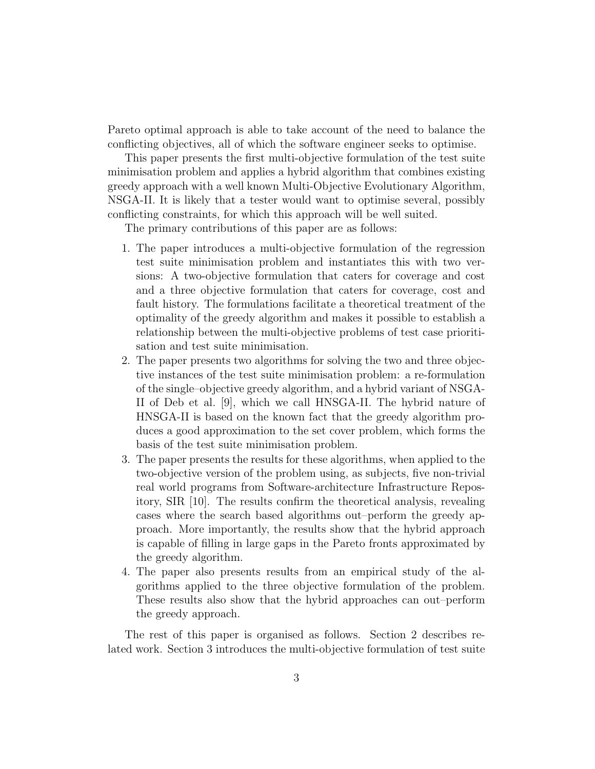Pareto optimal approach is able to take account of the need to balance the conflicting objectives, all of which the software engineer seeks to optimise.

This paper presents the first multi-objective formulation of the test suite minimisation problem and applies a hybrid algorithm that combines existing greedy approach with a well known Multi-Objective Evolutionary Algorithm, NSGA-II. It is likely that a tester would want to optimise several, possibly conflicting constraints, for which this approach will be well suited.

The primary contributions of this paper are as follows:

- 1. The paper introduces a multi-objective formulation of the regression test suite minimisation problem and instantiates this with two versions: A two-objective formulation that caters for coverage and cost and a three objective formulation that caters for coverage, cost and fault history. The formulations facilitate a theoretical treatment of the optimality of the greedy algorithm and makes it possible to establish a relationship between the multi-objective problems of test case prioritisation and test suite minimisation.
- 2. The paper presents two algorithms for solving the two and three objective instances of the test suite minimisation problem: a re-formulation of the single–objective greedy algorithm, and a hybrid variant of NSGA-II of Deb et al. [9], which we call HNSGA-II. The hybrid nature of HNSGA-II is based on the known fact that the greedy algorithm produces a good approximation to the set cover problem, which forms the basis of the test suite minimisation problem.
- 3. The paper presents the results for these algorithms, when applied to the two-objective version of the problem using, as subjects, five non-trivial real world programs from Software-architecture Infrastructure Repository, SIR [10]. The results confirm the theoretical analysis, revealing cases where the search based algorithms out–perform the greedy approach. More importantly, the results show that the hybrid approach is capable of filling in large gaps in the Pareto fronts approximated by the greedy algorithm.
- 4. The paper also presents results from an empirical study of the algorithms applied to the three objective formulation of the problem. These results also show that the hybrid approaches can out–perform the greedy approach.

The rest of this paper is organised as follows. Section 2 describes related work. Section 3 introduces the multi-objective formulation of test suite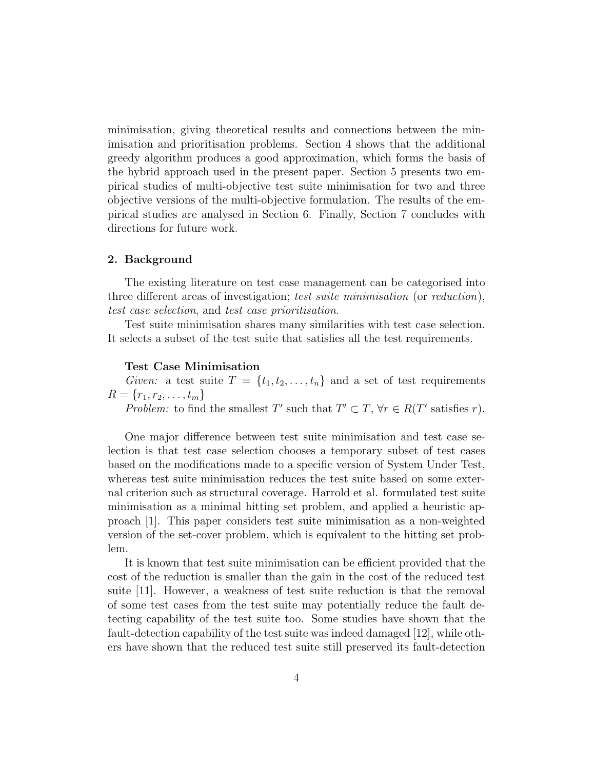minimisation, giving theoretical results and connections between the minimisation and prioritisation problems. Section 4 shows that the additional greedy algorithm produces a good approximation, which forms the basis of the hybrid approach used in the present paper. Section 5 presents two empirical studies of multi-objective test suite minimisation for two and three objective versions of the multi-objective formulation. The results of the empirical studies are analysed in Section 6. Finally, Section 7 concludes with directions for future work.

### 2. Background

The existing literature on test case management can be categorised into three different areas of investigation; test suite minimisation (or reduction), test case selection, and test case prioritisation.

Test suite minimisation shares many similarities with test case selection. It selects a subset of the test suite that satisfies all the test requirements.

#### Test Case Minimisation

Given: a test suite  $T = \{t_1, t_2, \ldots, t_n\}$  and a set of test requirements  $R = \{r_1, r_2, \ldots, t_m\}$ 

Problem: to find the smallest T' such that  $T' \subset T$ ,  $\forall r \in R(T'$  satisfies r).

One major difference between test suite minimisation and test case selection is that test case selection chooses a temporary subset of test cases based on the modifications made to a specific version of System Under Test, whereas test suite minimisation reduces the test suite based on some external criterion such as structural coverage. Harrold et al. formulated test suite minimisation as a minimal hitting set problem, and applied a heuristic approach [1]. This paper considers test suite minimisation as a non-weighted version of the set-cover problem, which is equivalent to the hitting set problem.

It is known that test suite minimisation can be efficient provided that the cost of the reduction is smaller than the gain in the cost of the reduced test suite [11]. However, a weakness of test suite reduction is that the removal of some test cases from the test suite may potentially reduce the fault detecting capability of the test suite too. Some studies have shown that the fault-detection capability of the test suite was indeed damaged [12], while others have shown that the reduced test suite still preserved its fault-detection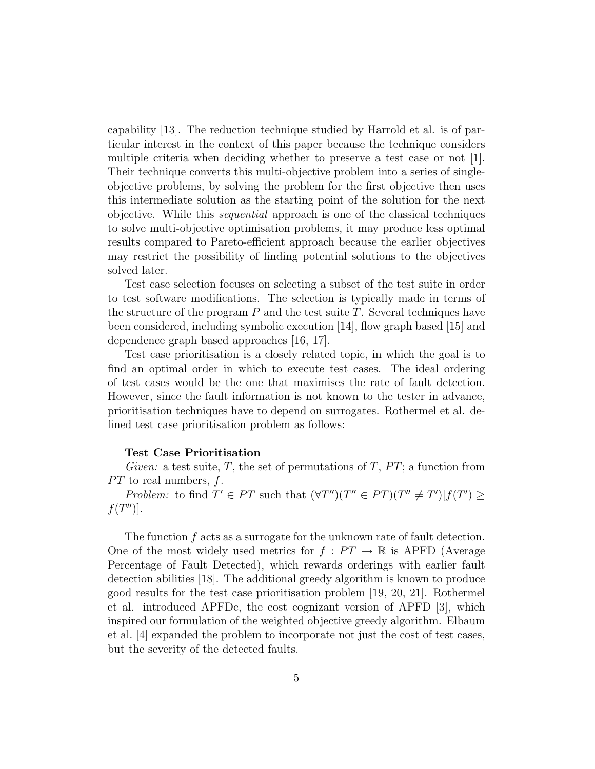capability [13]. The reduction technique studied by Harrold et al. is of particular interest in the context of this paper because the technique considers multiple criteria when deciding whether to preserve a test case or not [1]. Their technique converts this multi-objective problem into a series of singleobjective problems, by solving the problem for the first objective then uses this intermediate solution as the starting point of the solution for the next objective. While this sequential approach is one of the classical techniques to solve multi-objective optimisation problems, it may produce less optimal results compared to Pareto-efficient approach because the earlier objectives may restrict the possibility of finding potential solutions to the objectives solved later.

Test case selection focuses on selecting a subset of the test suite in order to test software modifications. The selection is typically made in terms of the structure of the program  $P$  and the test suite  $T$ . Several techniques have been considered, including symbolic execution [14], flow graph based [15] and dependence graph based approaches [16, 17].

Test case prioritisation is a closely related topic, in which the goal is to find an optimal order in which to execute test cases. The ideal ordering of test cases would be the one that maximises the rate of fault detection. However, since the fault information is not known to the tester in advance, prioritisation techniques have to depend on surrogates. Rothermel et al. defined test case prioritisation problem as follows:

#### Test Case Prioritisation

Given: a test suite, T, the set of permutations of T,  $PT$ ; a function from  $PT$  to real numbers,  $f$ .

Problem: to find  $T' \in PT$  such that  $(\forall T'') (T'' \in PT)(T'' \neq T') [f(T') \geq$  $f(T'')$ .

The function f acts as a surrogate for the unknown rate of fault detection. One of the most widely used metrics for  $f : PT \to \mathbb{R}$  is APFD (Average Percentage of Fault Detected), which rewards orderings with earlier fault detection abilities [18]. The additional greedy algorithm is known to produce good results for the test case prioritisation problem [19, 20, 21]. Rothermel et al. introduced APFDc, the cost cognizant version of APFD [3], which inspired our formulation of the weighted objective greedy algorithm. Elbaum et al. [4] expanded the problem to incorporate not just the cost of test cases, but the severity of the detected faults.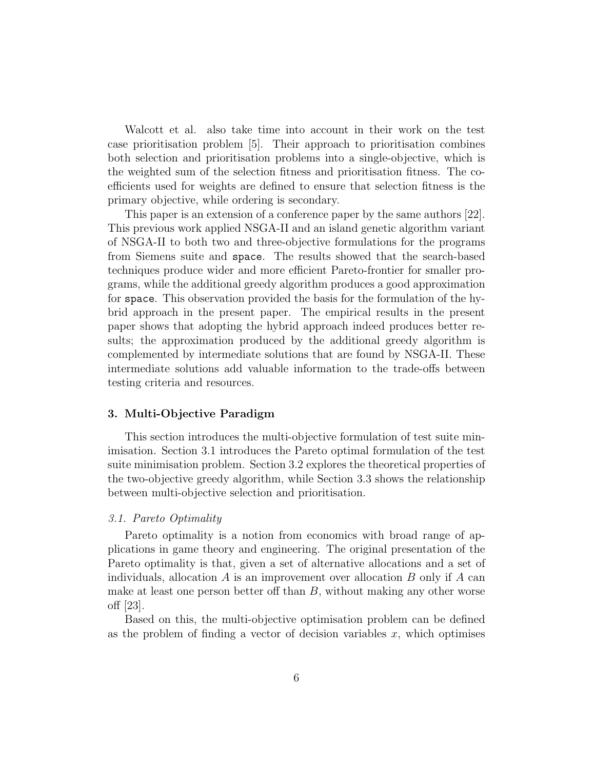Walcott et al. also take time into account in their work on the test case prioritisation problem [5]. Their approach to prioritisation combines both selection and prioritisation problems into a single-objective, which is the weighted sum of the selection fitness and prioritisation fitness. The coefficients used for weights are defined to ensure that selection fitness is the primary objective, while ordering is secondary.

This paper is an extension of a conference paper by the same authors [22]. This previous work applied NSGA-II and an island genetic algorithm variant of NSGA-II to both two and three-objective formulations for the programs from Siemens suite and space. The results showed that the search-based techniques produce wider and more efficient Pareto-frontier for smaller programs, while the additional greedy algorithm produces a good approximation for space. This observation provided the basis for the formulation of the hybrid approach in the present paper. The empirical results in the present paper shows that adopting the hybrid approach indeed produces better results; the approximation produced by the additional greedy algorithm is complemented by intermediate solutions that are found by NSGA-II. These intermediate solutions add valuable information to the trade-offs between testing criteria and resources.

#### 3. Multi-Objective Paradigm

This section introduces the multi-objective formulation of test suite minimisation. Section 3.1 introduces the Pareto optimal formulation of the test suite minimisation problem. Section 3.2 explores the theoretical properties of the two-objective greedy algorithm, while Section 3.3 shows the relationship between multi-objective selection and prioritisation.

## 3.1. Pareto Optimality

Pareto optimality is a notion from economics with broad range of applications in game theory and engineering. The original presentation of the Pareto optimality is that, given a set of alternative allocations and a set of individuals, allocation  $A$  is an improvement over allocation  $B$  only if  $A$  can make at least one person better off than  $B$ , without making any other worse off [23].

Based on this, the multi-objective optimisation problem can be defined as the problem of finding a vector of decision variables  $x$ , which optimises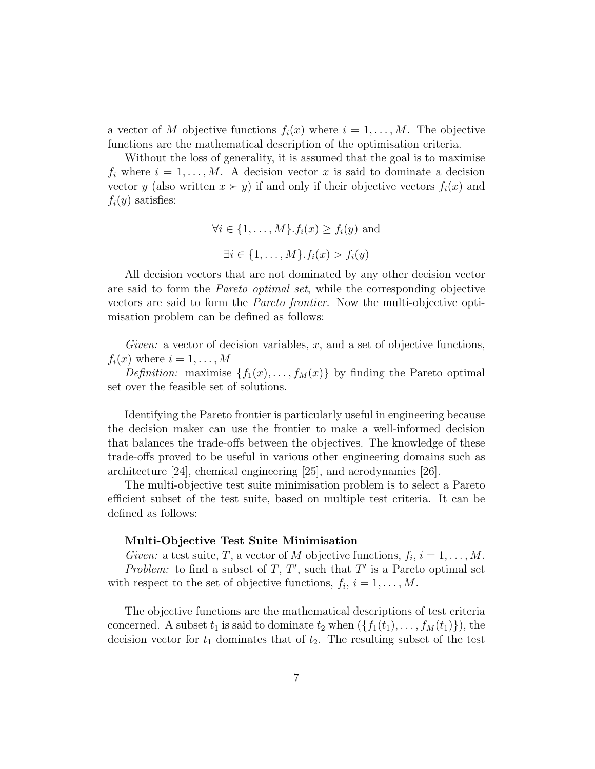a vector of M objective functions  $f_i(x)$  where  $i = 1, \ldots, M$ . The objective functions are the mathematical description of the optimisation criteria.

Without the loss of generality, it is assumed that the goal is to maximise  $f_i$  where  $i = 1, \ldots, M$ . A decision vector x is said to dominate a decision vector y (also written  $x \succ y$ ) if and only if their objective vectors  $f_i(x)$  and  $f_i(y)$  satisfies:

$$
\forall i \in \{1, ..., M\}. f_i(x) \ge f_i(y) \text{ and}
$$

$$
\exists i \in \{1, ..., M\}. f_i(x) > f_i(y)
$$

All decision vectors that are not dominated by any other decision vector are said to form the Pareto optimal set, while the corresponding objective vectors are said to form the Pareto frontier. Now the multi-objective optimisation problem can be defined as follows:

Given: a vector of decision variables,  $x$ , and a set of objective functions,  $f_i(x)$  where  $i = 1, \ldots, M$ 

*Definition:* maximise  $\{f_1(x), \ldots, f_M(x)\}\$ by finding the Pareto optimal set over the feasible set of solutions.

Identifying the Pareto frontier is particularly useful in engineering because the decision maker can use the frontier to make a well-informed decision that balances the trade-offs between the objectives. The knowledge of these trade-offs proved to be useful in various other engineering domains such as architecture [24], chemical engineering [25], and aerodynamics [26].

The multi-objective test suite minimisation problem is to select a Pareto efficient subset of the test suite, based on multiple test criteria. It can be defined as follows:

#### Multi-Objective Test Suite Minimisation

Given: a test suite, T, a vector of M objective functions,  $f_i$ ,  $i = 1, ..., M$ . Problem: to find a subset of  $T, T'$ , such that  $T'$  is a Pareto optimal set with respect to the set of objective functions,  $f_i$ ,  $i = 1, ..., M$ .

The objective functions are the mathematical descriptions of test criteria concerned. A subset  $t_1$  is said to dominate  $t_2$  when  $(\{f_1(t_1), \ldots, f_M(t_1)\})$ , the decision vector for  $t_1$  dominates that of  $t_2$ . The resulting subset of the test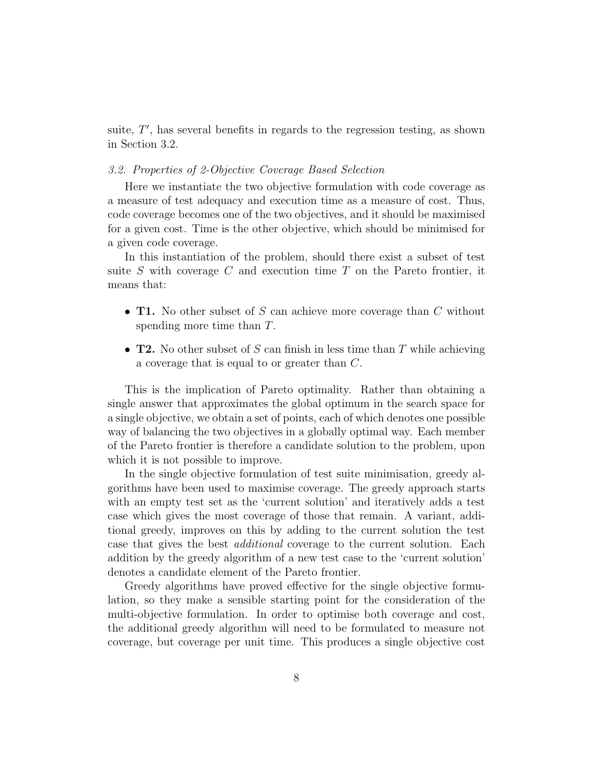suite,  $T'$ , has several benefits in regards to the regression testing, as shown in Section 3.2.

#### 3.2. Properties of 2-Objective Coverage Based Selection

Here we instantiate the two objective formulation with code coverage as a measure of test adequacy and execution time as a measure of cost. Thus, code coverage becomes one of the two objectives, and it should be maximised for a given cost. Time is the other objective, which should be minimised for a given code coverage.

In this instantiation of the problem, should there exist a subset of test suite  $S$  with coverage  $C$  and execution time  $T$  on the Pareto frontier, it means that:

- **T1.** No other subset of S can achieve more coverage than C without spending more time than T.
- **T2.** No other subset of S can finish in less time than T while achieving a coverage that is equal to or greater than C.

This is the implication of Pareto optimality. Rather than obtaining a single answer that approximates the global optimum in the search space for a single objective, we obtain a set of points, each of which denotes one possible way of balancing the two objectives in a globally optimal way. Each member of the Pareto frontier is therefore a candidate solution to the problem, upon which it is not possible to improve.

In the single objective formulation of test suite minimisation, greedy algorithms have been used to maximise coverage. The greedy approach starts with an empty test set as the 'current solution' and iteratively adds a test case which gives the most coverage of those that remain. A variant, additional greedy, improves on this by adding to the current solution the test case that gives the best additional coverage to the current solution. Each addition by the greedy algorithm of a new test case to the 'current solution' denotes a candidate element of the Pareto frontier.

Greedy algorithms have proved effective for the single objective formulation, so they make a sensible starting point for the consideration of the multi-objective formulation. In order to optimise both coverage and cost, the additional greedy algorithm will need to be formulated to measure not coverage, but coverage per unit time. This produces a single objective cost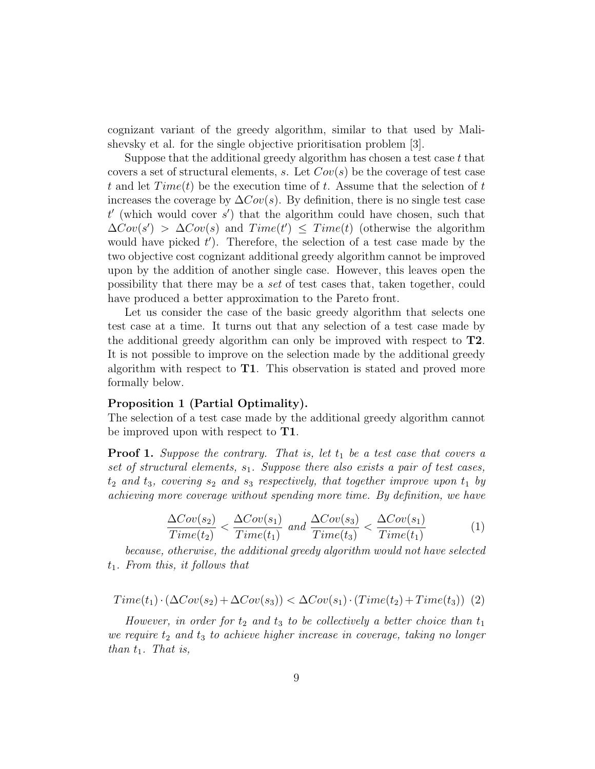cognizant variant of the greedy algorithm, similar to that used by Malishevsky et al. for the single objective prioritisation problem [3].

Suppose that the additional greedy algorithm has chosen a test case  $t$  that covers a set of structural elements, s. Let  $Cov(s)$  be the coverage of test case t and let  $Time(t)$  be the execution time of t. Assume that the selection of t increases the coverage by  $\Delta Cov(s)$ . By definition, there is no single test case  $t'$  (which would cover  $s'$ ) that the algorithm could have chosen, such that  $\Delta Cov(s') > \Delta Cov(s)$  and  $Time(t') \leq Time(t)$  (otherwise the algorithm would have picked  $t'$ ). Therefore, the selection of a test case made by the two objective cost cognizant additional greedy algorithm cannot be improved upon by the addition of another single case. However, this leaves open the possibility that there may be a set of test cases that, taken together, could have produced a better approximation to the Pareto front.

Let us consider the case of the basic greedy algorithm that selects one test case at a time. It turns out that any selection of a test case made by the additional greedy algorithm can only be improved with respect to T2. It is not possible to improve on the selection made by the additional greedy algorithm with respect to T1. This observation is stated and proved more formally below.

#### Proposition 1 (Partial Optimality).

The selection of a test case made by the additional greedy algorithm cannot be improved upon with respect to **T1**.

**Proof 1.** Suppose the contrary. That is, let  $t_1$  be a test case that covers a set of structural elements,  $s_1$ . Suppose there also exists a pair of test cases,  $t_2$  and  $t_3$ , covering  $s_2$  and  $s_3$  respectively, that together improve upon  $t_1$  by achieving more coverage without spending more time. By definition, we have

$$
\frac{\Delta Cov(s_2)}{Time(t_2)} < \frac{\Delta Cov(s_1)}{Time(t_1)} \text{ and } \frac{\Delta Cov(s_3)}{Time(t_3)} < \frac{\Delta Cov(s_1)}{Time(t_1)} \tag{1}
$$

because, otherwise, the additional greedy algorithm would not have selected  $t_1$ . From this, it follows that

$$
Time(t_1) \cdot (\Delta Cov(s_2) + \Delta Cov(s_3)) < \Delta Cov(s_1) \cdot (Time(t_2) + Time(t_3)) \tag{2}
$$

However, in order for  $t_2$  and  $t_3$  to be collectively a better choice than  $t_1$ we require  $t_2$  and  $t_3$  to achieve higher increase in coverage, taking no longer than  $t_1$ . That is,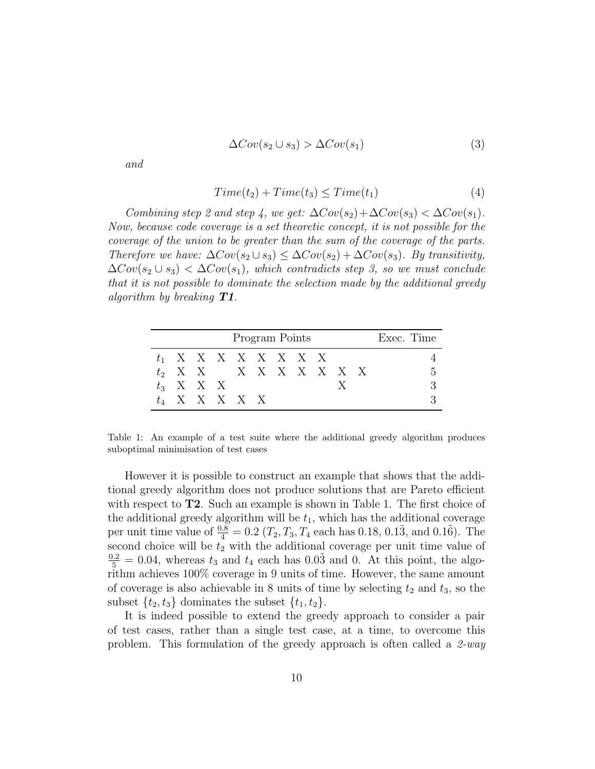$$
\Delta Cov(s_2 \cup s_3) > \Delta Cov(s_1)
$$
\n(3)

and

$$
Time(t_2) + Time(t_3) \leq Time(t_1)
$$
\n<sup>(4)</sup>

Combining step 2 and step 4, we get:  $\Delta Cov(s_2) + \Delta Cov(s_3) < \Delta Cov(s_1)$ . Now, because code coverage is a set theoretic concept, it is not possible for the coverage of the union to be greater than the sum of the coverage of the parts. Therefore we have:  $\Delta Cov(s_2 \cup s_3) \leq \Delta Cov(s_2) + \Delta Cov(s_3)$ . By transitivity,  $\Delta Cov(s_2 \cup s_3) < \Delta Cov(s_1)$ , which contradicts step 3, so we must conclude that it is not possible to dominate the selection made by the additional greedy algorithm by breaking  $T1$ .

| Program Points |  |             |                         |  |  |  |  | Exec. Time |  |  |
|----------------|--|-------------|-------------------------|--|--|--|--|------------|--|--|
|                |  |             | $t_1$ X X X X X X X X   |  |  |  |  |            |  |  |
|                |  |             | $t_2$ X X X X X X X X X |  |  |  |  |            |  |  |
|                |  | $t_3$ X X X |                         |  |  |  |  |            |  |  |
|                |  |             | $t_4$ X X X X X         |  |  |  |  |            |  |  |

Table 1: An example of a test suite where the additional greedy algorithm produces suboptimal minimisation of test cases

However it is possible to construct an example that shows that the additional greedy algorithm does not produce solutions that are Pareto efficient with respect to  $T2$ . Such an example is shown in Table 1. The first choice of the additional greedy algorithm will be  $t_1$ , which has the additional coverage per unit time value of  $\frac{0.8}{4} = 0.2$  ( $T_2, T_3, T_4$  each has 0.18, 0.13, and 0.16). The second choice will be  $t_2$  with the additional coverage per unit time value of  $\frac{0.2}{5}$  = 0.04, whereas  $t_3$  and  $t_4$  each has 0.03 and 0. At this point, the algorithm achieves 100% coverage in 9 units of time. However, the same amount of coverage is also achievable in 8 units of time by selecting  $t_2$  and  $t_3$ , so the subset  $\{t_2, t_3\}$  dominates the subset  $\{t_1, t_2\}$ .

It is indeed possible to extend the greedy approach to consider a pair of test cases, rather than a single test case, at a time, to overcome this problem. This formulation of the greedy approach is often called a  $2$ -way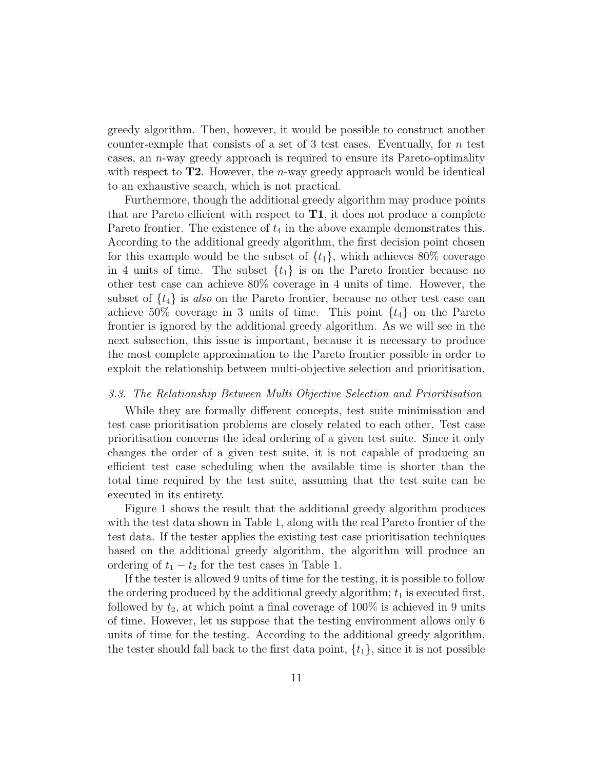greedy algorithm. Then, however, it would be possible to construct another counter-exmple that consists of a set of 3 test cases. Eventually, for  $n$  test cases, an n-way greedy approach is required to ensure its Pareto-optimality with respect to  $T2$ . However, the *n*-way greedy approach would be identical to an exhaustive search, which is not practical.

Furthermore, though the additional greedy algorithm may produce points that are Pareto efficient with respect to  $T1$ , it does not produce a complete Pareto frontier. The existence of  $t_4$  in the above example demonstrates this. According to the additional greedy algorithm, the first decision point chosen for this example would be the subset of  $\{t_1\}$ , which achieves 80% coverage in 4 units of time. The subset  $\{t_1\}$  is on the Pareto frontier because no other test case can achieve 80% coverage in 4 units of time. However, the subset of  $\{t_4\}$  is also on the Pareto frontier, because no other test case can achieve 50% coverage in 3 units of time. This point  $\{t_4\}$  on the Pareto frontier is ignored by the additional greedy algorithm. As we will see in the next subsection, this issue is important, because it is necessary to produce the most complete approximation to the Pareto frontier possible in order to exploit the relationship between multi-objective selection and prioritisation.

#### 3.3. The Relationship Between Multi Objective Selection and Prioritisation

While they are formally different concepts, test suite minimisation and test case prioritisation problems are closely related to each other. Test case prioritisation concerns the ideal ordering of a given test suite. Since it only changes the order of a given test suite, it is not capable of producing an efficient test case scheduling when the available time is shorter than the total time required by the test suite, assuming that the test suite can be executed in its entirety.

Figure 1 shows the result that the additional greedy algorithm produces with the test data shown in Table 1, along with the real Pareto frontier of the test data. If the tester applies the existing test case prioritisation techniques based on the additional greedy algorithm, the algorithm will produce an ordering of  $t_1 - t_2$  for the test cases in Table 1.

If the tester is allowed 9 units of time for the testing, it is possible to follow the ordering produced by the additional greedy algorithm;  $t_1$  is executed first, followed by  $t_2$ , at which point a final coverage of 100% is achieved in 9 units of time. However, let us suppose that the testing environment allows only 6 units of time for the testing. According to the additional greedy algorithm, the tester should fall back to the first data point,  $\{t_1\}$ , since it is not possible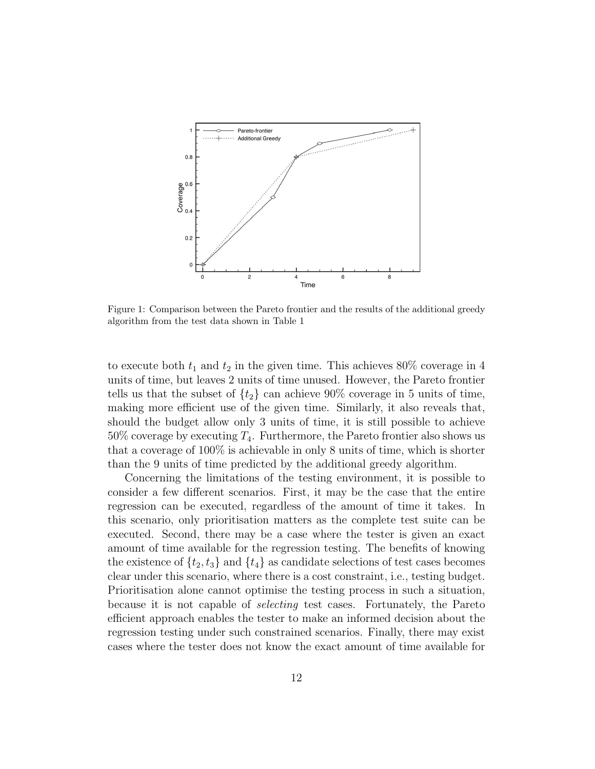

Figure 1: Comparison between the Pareto frontier and the results of the additional greedy algorithm from the test data shown in Table 1

to execute both  $t_1$  and  $t_2$  in the given time. This achieves 80% coverage in 4 units of time, but leaves 2 units of time unused. However, the Pareto frontier tells us that the subset of  $\{t_2\}$  can achieve 90% coverage in 5 units of time, making more efficient use of the given time. Similarly, it also reveals that, should the budget allow only 3 units of time, it is still possible to achieve  $50\%$  coverage by executing  $T_4$ . Furthermore, the Pareto frontier also shows us that a coverage of 100% is achievable in only 8 units of time, which is shorter than the 9 units of time predicted by the additional greedy algorithm.

Concerning the limitations of the testing environment, it is possible to consider a few different scenarios. First, it may be the case that the entire regression can be executed, regardless of the amount of time it takes. In this scenario, only prioritisation matters as the complete test suite can be executed. Second, there may be a case where the tester is given an exact amount of time available for the regression testing. The benefits of knowing the existence of  $\{t_2, t_3\}$  and  $\{t_4\}$  as candidate selections of test cases becomes clear under this scenario, where there is a cost constraint, i.e., testing budget. Prioritisation alone cannot optimise the testing process in such a situation, because it is not capable of selecting test cases. Fortunately, the Pareto efficient approach enables the tester to make an informed decision about the regression testing under such constrained scenarios. Finally, there may exist cases where the tester does not know the exact amount of time available for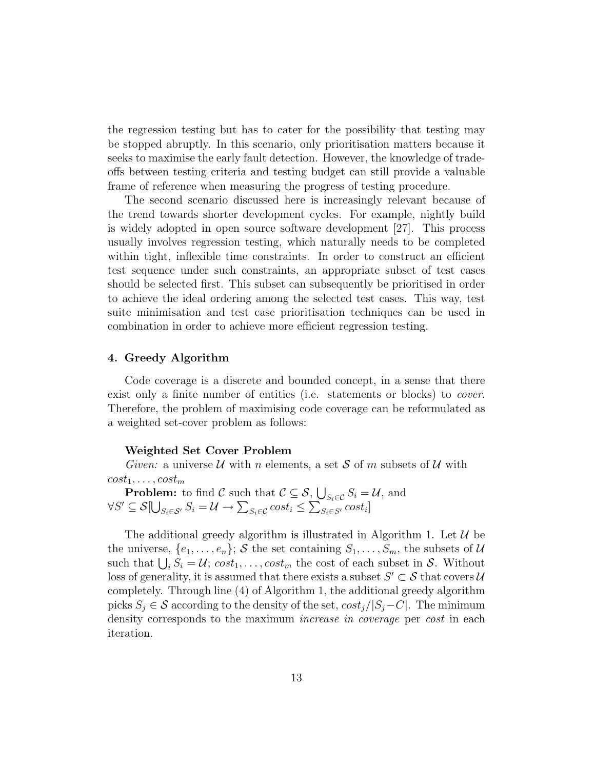the regression testing but has to cater for the possibility that testing may be stopped abruptly. In this scenario, only prioritisation matters because it seeks to maximise the early fault detection. However, the knowledge of tradeoffs between testing criteria and testing budget can still provide a valuable frame of reference when measuring the progress of testing procedure.

The second scenario discussed here is increasingly relevant because of the trend towards shorter development cycles. For example, nightly build is widely adopted in open source software development [27]. This process usually involves regression testing, which naturally needs to be completed within tight, inflexible time constraints. In order to construct an efficient test sequence under such constraints, an appropriate subset of test cases should be selected first. This subset can subsequently be prioritised in order to achieve the ideal ordering among the selected test cases. This way, test suite minimisation and test case prioritisation techniques can be used in combination in order to achieve more efficient regression testing.

## 4. Greedy Algorithm

Code coverage is a discrete and bounded concept, in a sense that there exist only a finite number of entities (i.e. statements or blocks) to *cover*. Therefore, the problem of maximising code coverage can be reformulated as a weighted set-cover problem as follows:

#### Weighted Set Cover Problem

Given: a universe  $U$  with n elements, a set S of m subsets of U with  $cost_1, \ldots, cost_m$ 

**Problem:** to find  $C$  such that  $C \subseteq S$ ,  $\bigcup_{S_i \in C} S_i = U$ , and  $\forall S' \subseteq \mathcal{S}[\bigcup_{S_i \in \mathcal{S}'} S_i = \mathcal{U} \rightarrow \sum_{S_i \in \mathcal{C}} cost_i \leq \sum_{S_i \in \mathcal{S}'} cost_i]$ 

The additional greedy algorithm is illustrated in Algorithm 1. Let  $\mathcal{U}$  be the universe,  $\{e_1, \ldots, e_n\}$ ; S the set containing  $S_1, \ldots, S_m$ , the subsets of U such that  $\bigcup_i S_i = \mathcal{U}$ ;  $cost_1, \ldots, cost_m$  the cost of each subset in S. Without loss of generality, it is assumed that there exists a subset  $S' \subset \mathcal{S}$  that covers  $\mathcal{U}$ completely. Through line (4) of Algorithm 1, the additional greedy algorithm picks  $S_i \in \mathcal{S}$  according to the density of the set,  $cost_i/|S_i - C|$ . The minimum density corresponds to the maximum *increase in coverage* per *cost* in each iteration.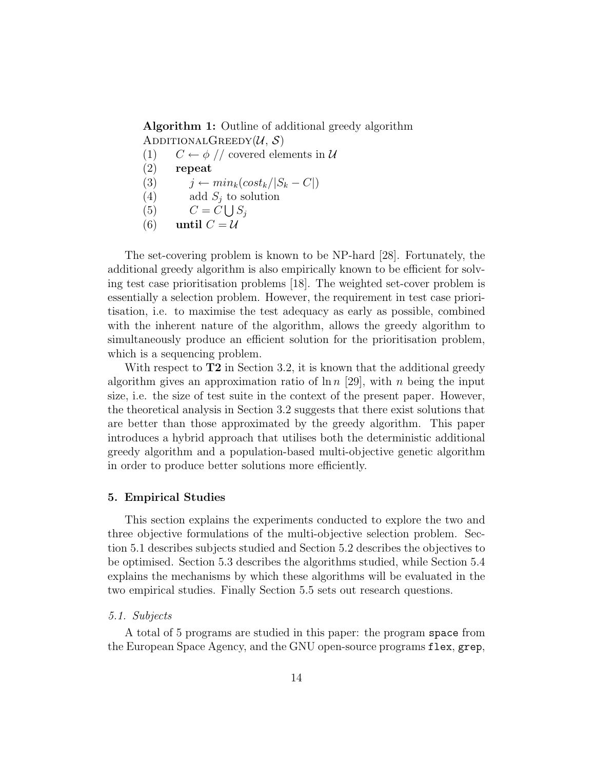Algorithm 1: Outline of additional greedy algorithm ADDITIONALGREEDY $(\mathcal{U}, \mathcal{S})$ 

- (1)  $C \leftarrow \phi$  // covered elements in U
- (2) repeat
- (3)  $j \leftarrow min_k(cost_k/|S_k C|)$
- (4) add  $S_i$  to solution

$$
(5) \qquad C = C \bigcup S_j
$$

(6) until  $C = U$ 

The set-covering problem is known to be NP-hard [28]. Fortunately, the additional greedy algorithm is also empirically known to be efficient for solving test case prioritisation problems [18]. The weighted set-cover problem is essentially a selection problem. However, the requirement in test case prioritisation, i.e. to maximise the test adequacy as early as possible, combined with the inherent nature of the algorithm, allows the greedy algorithm to simultaneously produce an efficient solution for the prioritisation problem, which is a sequencing problem.

With respect to  $T2$  in Section 3.2, it is known that the additional greedy algorithm gives an approximation ratio of  $\ln n$  [29], with n being the input size, i.e. the size of test suite in the context of the present paper. However, the theoretical analysis in Section 3.2 suggests that there exist solutions that are better than those approximated by the greedy algorithm. This paper introduces a hybrid approach that utilises both the deterministic additional greedy algorithm and a population-based multi-objective genetic algorithm in order to produce better solutions more efficiently.

### 5. Empirical Studies

This section explains the experiments conducted to explore the two and three objective formulations of the multi-objective selection problem. Section 5.1 describes subjects studied and Section 5.2 describes the objectives to be optimised. Section 5.3 describes the algorithms studied, while Section 5.4 explains the mechanisms by which these algorithms will be evaluated in the two empirical studies. Finally Section 5.5 sets out research questions.

## 5.1. Subjects

A total of 5 programs are studied in this paper: the program space from the European Space Agency, and the GNU open-source programs flex, grep,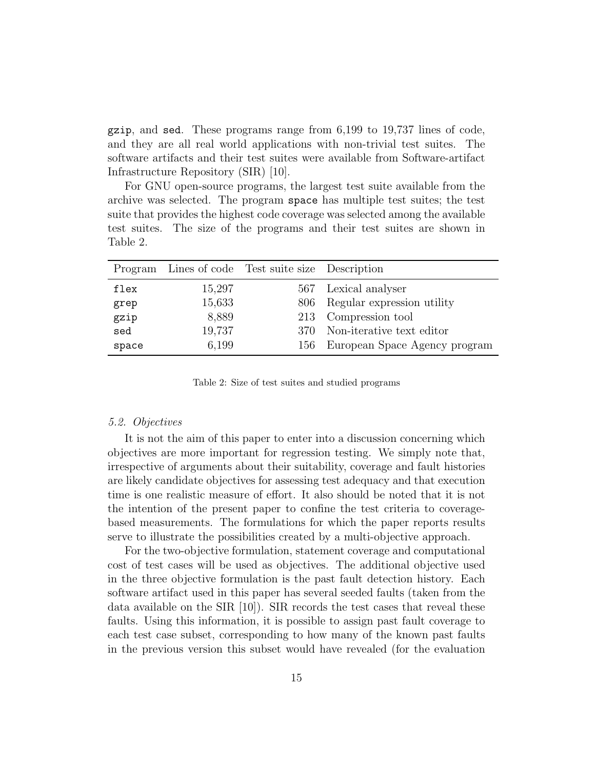gzip, and sed. These programs range from 6,199 to 19,737 lines of code, and they are all real world applications with non-trivial test suites. The software artifacts and their test suites were available from Software-artifact Infrastructure Repository (SIR) [10].

For GNU open-source programs, the largest test suite available from the archive was selected. The program space has multiple test suites; the test suite that provides the highest code coverage was selected among the available test suites. The size of the programs and their test suites are shown in Table 2.

| Program |        | Lines of code Test suite size Description |                                   |
|---------|--------|-------------------------------------------|-----------------------------------|
| flex    | 15,297 |                                           | 567 Lexical analyser              |
| grep    | 15,633 | 806                                       | Regular expression utility        |
| gzip    | 8,889  |                                           | 213 Compression tool              |
| sed     | 19,737 | 370-                                      | Non-iterative text editor         |
| space   | 6,199  |                                           | 156 European Space Agency program |

Table 2: Size of test suites and studied programs

#### 5.2. Objectives

It is not the aim of this paper to enter into a discussion concerning which objectives are more important for regression testing. We simply note that, irrespective of arguments about their suitability, coverage and fault histories are likely candidate objectives for assessing test adequacy and that execution time is one realistic measure of effort. It also should be noted that it is not the intention of the present paper to confine the test criteria to coveragebased measurements. The formulations for which the paper reports results serve to illustrate the possibilities created by a multi-objective approach.

For the two-objective formulation, statement coverage and computational cost of test cases will be used as objectives. The additional objective used in the three objective formulation is the past fault detection history. Each software artifact used in this paper has several seeded faults (taken from the data available on the SIR  $[10]$ . SIR records the test cases that reveal these faults. Using this information, it is possible to assign past fault coverage to each test case subset, corresponding to how many of the known past faults in the previous version this subset would have revealed (for the evaluation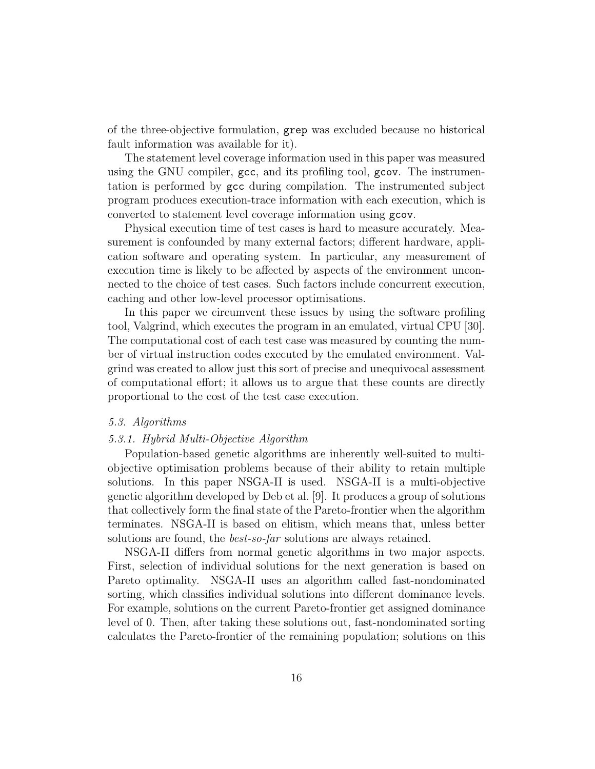of the three-objective formulation, grep was excluded because no historical fault information was available for it).

The statement level coverage information used in this paper was measured using the GNU compiler, gcc, and its profiling tool, gcov. The instrumentation is performed by gcc during compilation. The instrumented subject program produces execution-trace information with each execution, which is converted to statement level coverage information using gcov.

Physical execution time of test cases is hard to measure accurately. Measurement is confounded by many external factors; different hardware, application software and operating system. In particular, any measurement of execution time is likely to be affected by aspects of the environment unconnected to the choice of test cases. Such factors include concurrent execution, caching and other low-level processor optimisations.

In this paper we circumvent these issues by using the software profiling tool, Valgrind, which executes the program in an emulated, virtual CPU [30]. The computational cost of each test case was measured by counting the number of virtual instruction codes executed by the emulated environment. Valgrind was created to allow just this sort of precise and unequivocal assessment of computational effort; it allows us to argue that these counts are directly proportional to the cost of the test case execution.

## 5.3. Algorithms

#### 5.3.1. Hybrid Multi-Objective Algorithm

Population-based genetic algorithms are inherently well-suited to multiobjective optimisation problems because of their ability to retain multiple solutions. In this paper NSGA-II is used. NSGA-II is a multi-objective genetic algorithm developed by Deb et al. [9]. It produces a group of solutions that collectively form the final state of the Pareto-frontier when the algorithm terminates. NSGA-II is based on elitism, which means that, unless better solutions are found, the *best-so-far* solutions are always retained.

NSGA-II differs from normal genetic algorithms in two major aspects. First, selection of individual solutions for the next generation is based on Pareto optimality. NSGA-II uses an algorithm called fast-nondominated sorting, which classifies individual solutions into different dominance levels. For example, solutions on the current Pareto-frontier get assigned dominance level of 0. Then, after taking these solutions out, fast-nondominated sorting calculates the Pareto-frontier of the remaining population; solutions on this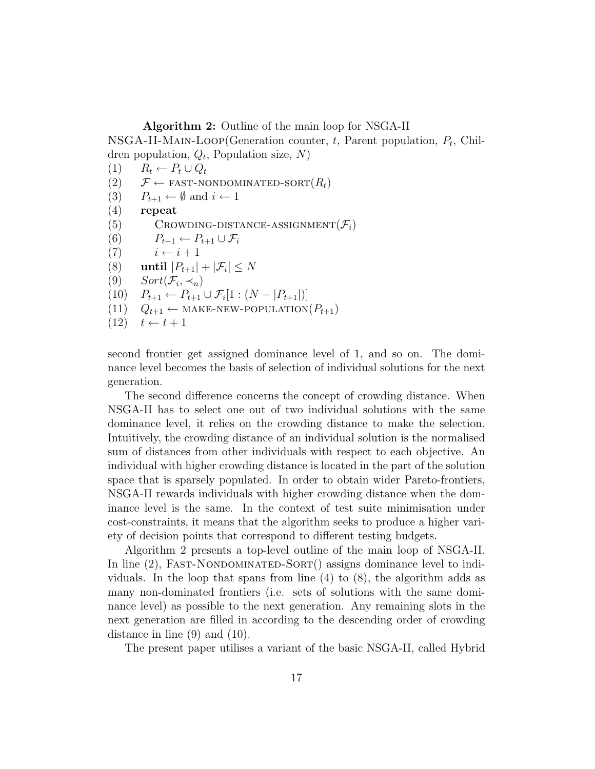Algorithm 2: Outline of the main loop for NSGA-II

NSGA-II-MAIN-LOOP(Generation counter,  $t$ , Parent population,  $P_t$ , Children population,  $Q_t$ , Population size,  $N$ )

 $(1)$   $R_t \leftarrow P_t \cup Q_t$ (2)  $\mathcal{F} \leftarrow$  FAST-NONDOMINATED-SORT $(R_t)$ (3)  $P_{t+1} \leftarrow \emptyset$  and  $i \leftarrow 1$ (4) repeat (5) CROWDING-DISTANCE-ASSIGNMENT $(\mathcal{F}_i)$ (6)  $P_{t+1} \leftarrow P_{t+1} \cup \mathcal{F}_i$ (7)  $i \leftarrow i + 1$ (8) until  $|P_{t+1}| + |\mathcal{F}_i| \leq N$ (9)  $Sort(\mathcal{F}_i, \prec_n)$  $(10)$   $P_{t+1} \leftarrow P_{t+1} \cup \mathcal{F}_i[1:(N-|P_{t+1}|)]$ (11)  $Q_{t+1} \leftarrow \text{MAKE-NEW-POPULATION}(P_{t+1})$  $(12)$   $t \leftarrow t+1$ 

second frontier get assigned dominance level of 1, and so on. The dominance level becomes the basis of selection of individual solutions for the next generation.

The second difference concerns the concept of crowding distance. When NSGA-II has to select one out of two individual solutions with the same dominance level, it relies on the crowding distance to make the selection. Intuitively, the crowding distance of an individual solution is the normalised sum of distances from other individuals with respect to each objective. An individual with higher crowding distance is located in the part of the solution space that is sparsely populated. In order to obtain wider Pareto-frontiers, NSGA-II rewards individuals with higher crowding distance when the dominance level is the same. In the context of test suite minimisation under cost-constraints, it means that the algorithm seeks to produce a higher variety of decision points that correspond to different testing budgets.

Algorithm 2 presents a top-level outline of the main loop of NSGA-II. In line  $(2)$ , FAST-NONDOMINATED-SORT $($ ) assigns dominance level to individuals. In the loop that spans from line (4) to (8), the algorithm adds as many non-dominated frontiers (i.e. sets of solutions with the same dominance level) as possible to the next generation. Any remaining slots in the next generation are filled in according to the descending order of crowding distance in line (9) and (10).

The present paper utilises a variant of the basic NSGA-II, called Hybrid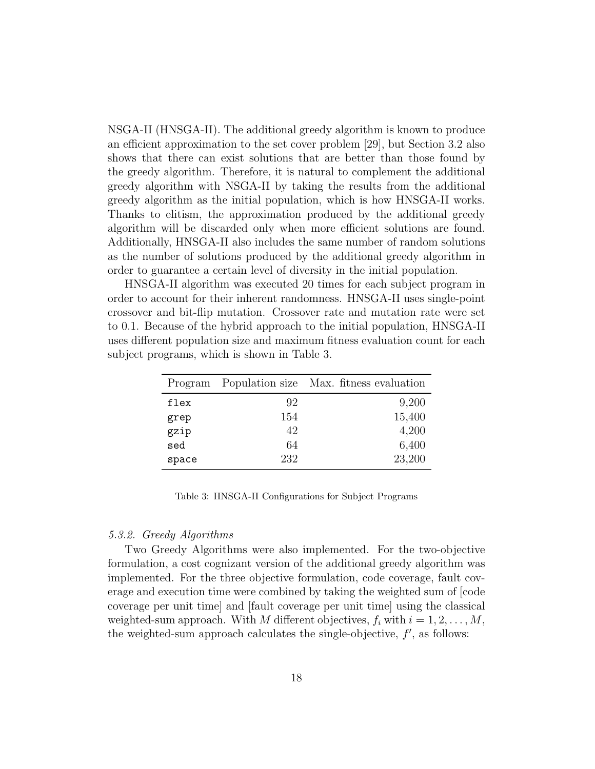NSGA-II (HNSGA-II). The additional greedy algorithm is known to produce an efficient approximation to the set cover problem [29], but Section 3.2 also shows that there can exist solutions that are better than those found by the greedy algorithm. Therefore, it is natural to complement the additional greedy algorithm with NSGA-II by taking the results from the additional greedy algorithm as the initial population, which is how HNSGA-II works. Thanks to elitism, the approximation produced by the additional greedy algorithm will be discarded only when more efficient solutions are found. Additionally, HNSGA-II also includes the same number of random solutions as the number of solutions produced by the additional greedy algorithm in order to guarantee a certain level of diversity in the initial population.

HNSGA-II algorithm was executed 20 times for each subject program in order to account for their inherent randomness. HNSGA-II uses single-point crossover and bit-flip mutation. Crossover rate and mutation rate were set to 0.1. Because of the hybrid approach to the initial population, HNSGA-II uses different population size and maximum fitness evaluation count for each subject programs, which is shown in Table 3.

|       |     | Program Population size Max. fitness evaluation |
|-------|-----|-------------------------------------------------|
| flex  | 92  | 9,200                                           |
| grep  | 154 | 15,400                                          |
| gzip  | 42  | 4,200                                           |
| sed   | 64  | 6,400                                           |
| space | 232 | 23,200                                          |

Table 3: HNSGA-II Configurations for Subject Programs

### 5.3.2. Greedy Algorithms

Two Greedy Algorithms were also implemented. For the two-objective formulation, a cost cognizant version of the additional greedy algorithm was implemented. For the three objective formulation, code coverage, fault coverage and execution time were combined by taking the weighted sum of [code coverage per unit time] and [fault coverage per unit time] using the classical weighted-sum approach. With M different objectives,  $f_i$  with  $i = 1, 2, \ldots, M$ , the weighted-sum approach calculates the single-objective,  $f'$ , as follows: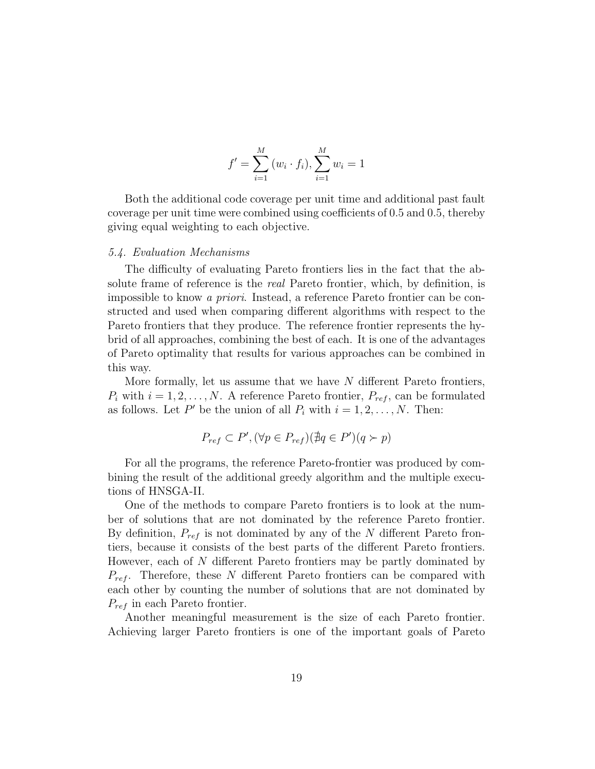$$
f' = \sum_{i=1}^{M} (w_i \cdot f_i), \sum_{i=1}^{M} w_i = 1
$$

Both the additional code coverage per unit time and additional past fault coverage per unit time were combined using coefficients of 0.5 and 0.5, thereby giving equal weighting to each objective.

#### 5.4. Evaluation Mechanisms

The difficulty of evaluating Pareto frontiers lies in the fact that the absolute frame of reference is the *real* Pareto frontier, which, by definition, is impossible to know a priori. Instead, a reference Pareto frontier can be constructed and used when comparing different algorithms with respect to the Pareto frontiers that they produce. The reference frontier represents the hybrid of all approaches, combining the best of each. It is one of the advantages of Pareto optimality that results for various approaches can be combined in this way.

More formally, let us assume that we have  $N$  different Pareto frontiers,  $P_i$  with  $i = 1, 2, \ldots, N$ . A reference Pareto frontier,  $P_{ref}$ , can be formulated as follows. Let P' be the union of all  $P_i$  with  $i = 1, 2, ..., N$ . Then:

$$
P_{ref} \subset P', (\forall p \in P_{ref})(\nexists q \in P')(q \succ p)
$$

For all the programs, the reference Pareto-frontier was produced by combining the result of the additional greedy algorithm and the multiple executions of HNSGA-II.

One of the methods to compare Pareto frontiers is to look at the number of solutions that are not dominated by the reference Pareto frontier. By definition,  $P_{ref}$  is not dominated by any of the N different Pareto frontiers, because it consists of the best parts of the different Pareto frontiers. However, each of N different Pareto frontiers may be partly dominated by  $P_{ref}$ . Therefore, these N different Pareto frontiers can be compared with each other by counting the number of solutions that are not dominated by  $P_{ref}$  in each Pareto frontier.

Another meaningful measurement is the size of each Pareto frontier. Achieving larger Pareto frontiers is one of the important goals of Pareto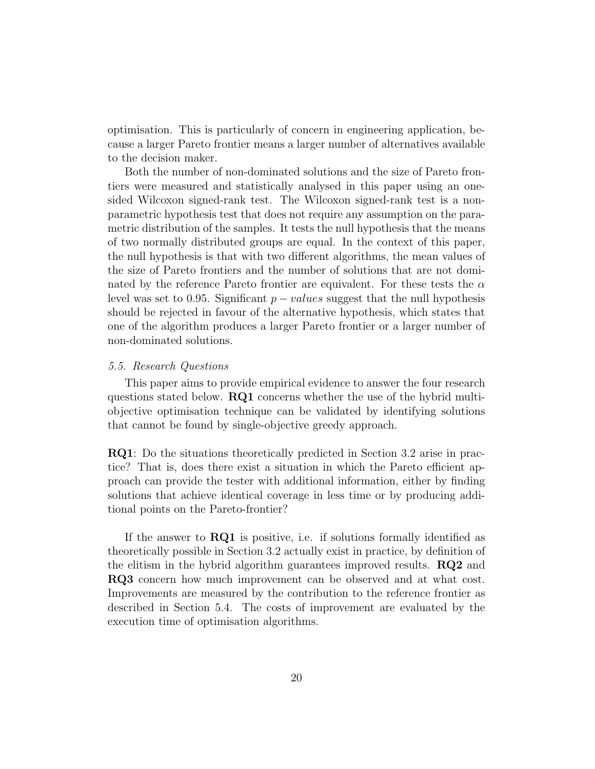optimisation. This is particularly of concern in engineering application, because a larger Pareto frontier means a larger number of alternatives available to the decision maker.

Both the number of non-dominated solutions and the size of Pareto frontiers were measured and statistically analysed in this paper using an onesided Wilcoxon signed-rank test. The Wilcoxon signed-rank test is a nonparametric hypothesis test that does not require any assumption on the parametric distribution of the samples. It tests the null hypothesis that the means of two normally distributed groups are equal. In the context of this paper, the null hypothesis is that with two different algorithms, the mean values of the size of Pareto frontiers and the number of solutions that are not dominated by the reference Pareto frontier are equivalent. For these tests the  $\alpha$ level was set to 0.95. Significant  $p - values$  suggest that the null hypothesis should be rejected in favour of the alternative hypothesis, which states that one of the algorithm produces a larger Pareto frontier or a larger number of non-dominated solutions.

#### 5.5. Research Questions

This paper aims to provide empirical evidence to answer the four research questions stated below. RQ1 concerns whether the use of the hybrid multiobjective optimisation technique can be validated by identifying solutions that cannot be found by single-objective greedy approach.

RQ1: Do the situations theoretically predicted in Section 3.2 arise in practice? That is, does there exist a situation in which the Pareto efficient approach can provide the tester with additional information, either by finding solutions that achieve identical coverage in less time or by producing additional points on the Pareto-frontier?

If the answer to  $\text{RQ1}$  is positive, i.e. if solutions formally identified as theoretically possible in Section 3.2 actually exist in practice, by definition of the elitism in the hybrid algorithm guarantees improved results. RQ2 and RQ3 concern how much improvement can be observed and at what cost. Improvements are measured by the contribution to the reference frontier as described in Section 5.4. The costs of improvement are evaluated by the execution time of optimisation algorithms.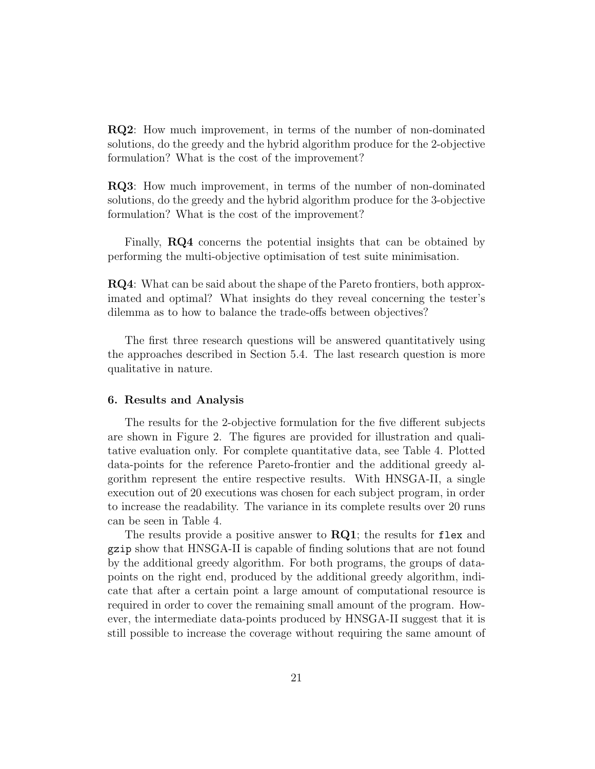RQ2: How much improvement, in terms of the number of non-dominated solutions, do the greedy and the hybrid algorithm produce for the 2-objective formulation? What is the cost of the improvement?

RQ3: How much improvement, in terms of the number of non-dominated solutions, do the greedy and the hybrid algorithm produce for the 3-objective formulation? What is the cost of the improvement?

Finally, RQ4 concerns the potential insights that can be obtained by performing the multi-objective optimisation of test suite minimisation.

RQ4: What can be said about the shape of the Pareto frontiers, both approximated and optimal? What insights do they reveal concerning the tester's dilemma as to how to balance the trade-offs between objectives?

The first three research questions will be answered quantitatively using the approaches described in Section 5.4. The last research question is more qualitative in nature.

## 6. Results and Analysis

The results for the 2-objective formulation for the five different subjects are shown in Figure 2. The figures are provided for illustration and qualitative evaluation only. For complete quantitative data, see Table 4. Plotted data-points for the reference Pareto-frontier and the additional greedy algorithm represent the entire respective results. With HNSGA-II, a single execution out of 20 executions was chosen for each subject program, in order to increase the readability. The variance in its complete results over 20 runs can be seen in Table 4.

The results provide a positive answer to  $RQ1$ ; the results for flex and gzip show that HNSGA-II is capable of finding solutions that are not found by the additional greedy algorithm. For both programs, the groups of datapoints on the right end, produced by the additional greedy algorithm, indicate that after a certain point a large amount of computational resource is required in order to cover the remaining small amount of the program. However, the intermediate data-points produced by HNSGA-II suggest that it is still possible to increase the coverage without requiring the same amount of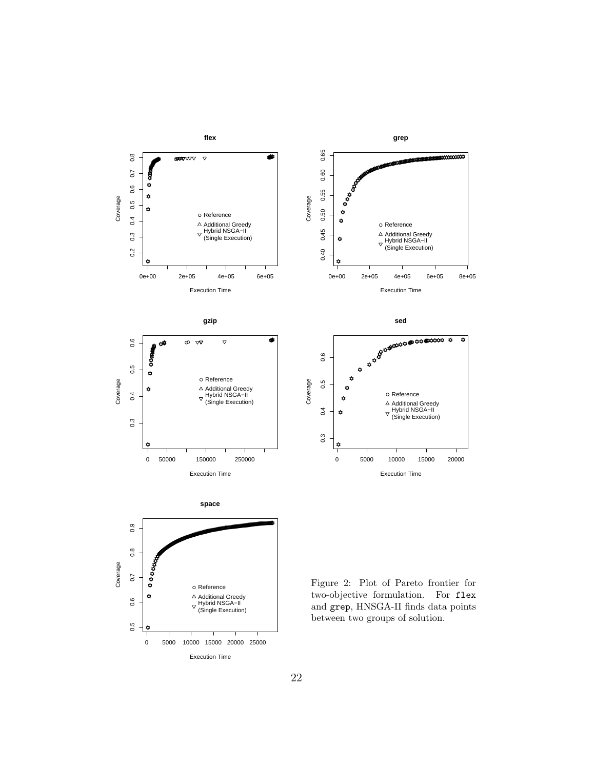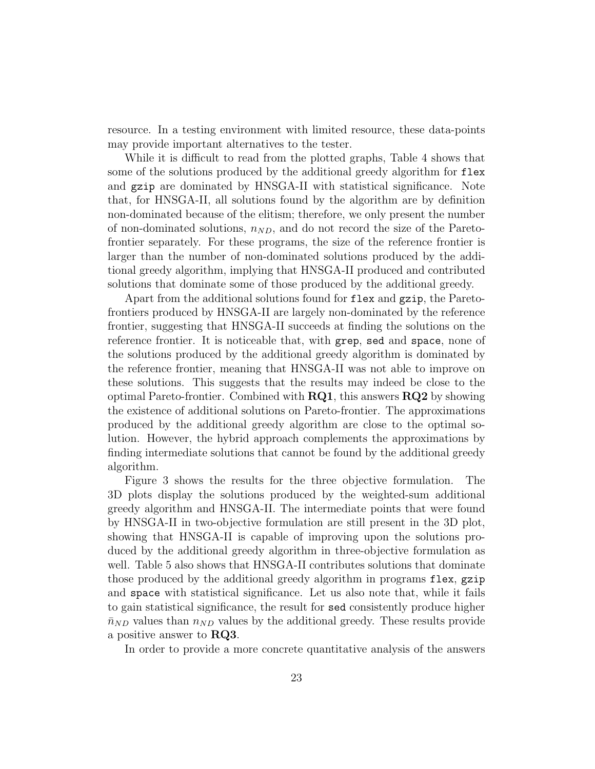resource. In a testing environment with limited resource, these data-points may provide important alternatives to the tester.

While it is difficult to read from the plotted graphs, Table 4 shows that some of the solutions produced by the additional greedy algorithm for flex and gzip are dominated by HNSGA-II with statistical significance. Note that, for HNSGA-II, all solutions found by the algorithm are by definition non-dominated because of the elitism; therefore, we only present the number of non-dominated solutions,  $n_{ND}$ , and do not record the size of the Paretofrontier separately. For these programs, the size of the reference frontier is larger than the number of non-dominated solutions produced by the additional greedy algorithm, implying that HNSGA-II produced and contributed solutions that dominate some of those produced by the additional greedy.

Apart from the additional solutions found for flex and gzip, the Paretofrontiers produced by HNSGA-II are largely non-dominated by the reference frontier, suggesting that HNSGA-II succeeds at finding the solutions on the reference frontier. It is noticeable that, with grep, sed and space, none of the solutions produced by the additional greedy algorithm is dominated by the reference frontier, meaning that HNSGA-II was not able to improve on these solutions. This suggests that the results may indeed be close to the optimal Pareto-frontier. Combined with  $RQ1$ , this answers  $RQ2$  by showing the existence of additional solutions on Pareto-frontier. The approximations produced by the additional greedy algorithm are close to the optimal solution. However, the hybrid approach complements the approximations by finding intermediate solutions that cannot be found by the additional greedy algorithm.

Figure 3 shows the results for the three objective formulation. The 3D plots display the solutions produced by the weighted-sum additional greedy algorithm and HNSGA-II. The intermediate points that were found by HNSGA-II in two-objective formulation are still present in the 3D plot, showing that HNSGA-II is capable of improving upon the solutions produced by the additional greedy algorithm in three-objective formulation as well. Table 5 also shows that HNSGA-II contributes solutions that dominate those produced by the additional greedy algorithm in programs flex, gzip and space with statistical significance. Let us also note that, while it fails to gain statistical significance, the result for sed consistently produce higher  $\bar{n}_{ND}$  values than  $n_{ND}$  values by the additional greedy. These results provide a positive answer to RQ3.

In order to provide a more concrete quantitative analysis of the answers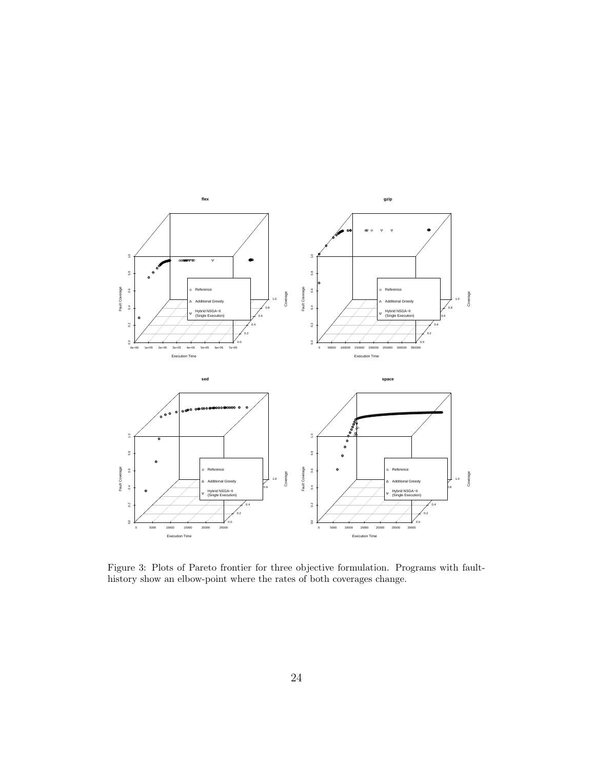

Figure 3: Plots of Pareto frontier for three objective formulation. Programs with faulthistory show an elbow-point where the rates of both coverages change.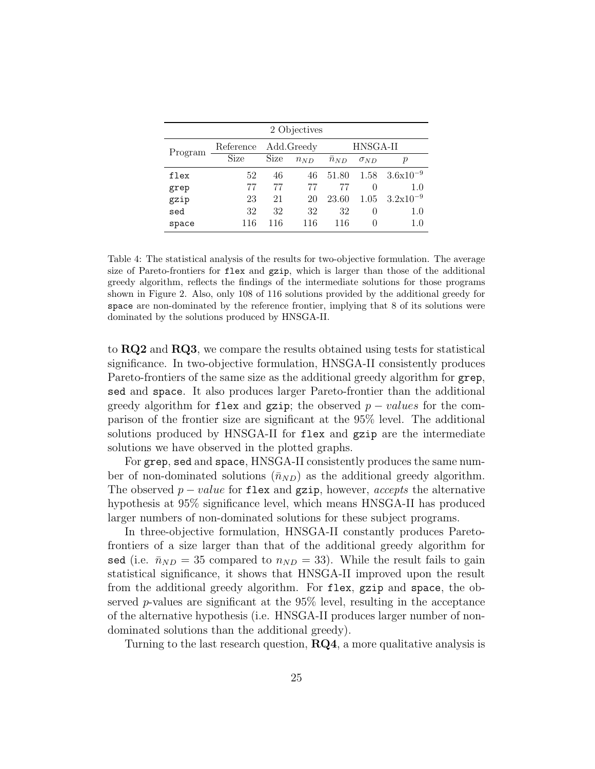| 2 Objectives |           |      |            |          |               |                  |  |
|--------------|-----------|------|------------|----------|---------------|------------------|--|
| Program      | Reference |      | Add.Greedy | HNSGA-II |               |                  |  |
|              | Size      | Size | $n_{ND}$   | $n_{ND}$ | $\sigma_{ND}$ | $\boldsymbol{p}$ |  |
| flex         | 52        | 46   | 46         | 51.80    | 1.58          | $3.6x10^{-9}$    |  |
| grep         | 77        | 77   | 77         | 77       | $\theta$      | 1.0              |  |
| gzip         | 23        | 21   | 20         | 23.60    | 1.05          | $3.2x10^{-9}$    |  |
| sed          | 32        | 32   | 32         | 32       | $\theta$      | $1.0\,$          |  |
| space        | 116       | 116  | 116        | 116      | $\mathbf{0}$  | 1.0              |  |

Table 4: The statistical analysis of the results for two-objective formulation. The average size of Pareto-frontiers for flex and gzip, which is larger than those of the additional greedy algorithm, reflects the findings of the intermediate solutions for those programs shown in Figure 2. Also, only 108 of 116 solutions provided by the additional greedy for space are non-dominated by the reference frontier, implying that 8 of its solutions were dominated by the solutions produced by HNSGA-II.

to RQ2 and RQ3, we compare the results obtained using tests for statistical significance. In two-objective formulation, HNSGA-II consistently produces Pareto-frontiers of the same size as the additional greedy algorithm for grep, sed and space. It also produces larger Pareto-frontier than the additional greedy algorithm for flex and gzip; the observed  $p - values$  for the comparison of the frontier size are significant at the 95% level. The additional solutions produced by HNSGA-II for flex and gzip are the intermediate solutions we have observed in the plotted graphs.

For grep, sed and space, HNSGA-II consistently produces the same number of non-dominated solutions  $(\bar{n}_{ND})$  as the additional greedy algorithm. The observed  $p-value$  for flex and gzip, however, *accepts* the alternative hypothesis at 95% significance level, which means HNSGA-II has produced larger numbers of non-dominated solutions for these subject programs.

In three-objective formulation, HNSGA-II constantly produces Paretofrontiers of a size larger than that of the additional greedy algorithm for sed (i.e.  $\bar{n}_{ND} = 35$  compared to  $n_{ND} = 33$ ). While the result fails to gain statistical significance, it shows that HNSGA-II improved upon the result from the additional greedy algorithm. For flex, gzip and space, the observed p-values are significant at the 95% level, resulting in the acceptance of the alternative hypothesis (i.e. HNSGA-II produces larger number of nondominated solutions than the additional greedy).

Turning to the last research question,  $\mathbf{R}\mathbf{Q4}$ , a more qualitative analysis is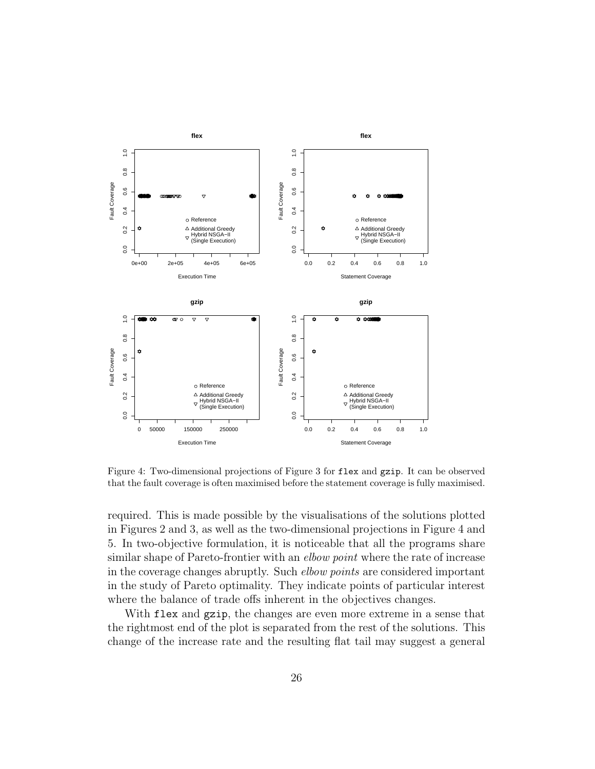

Figure 4: Two-dimensional projections of Figure 3 for flex and gzip. It can be observed that the fault coverage is often maximised before the statement coverage is fully maximised.

required. This is made possible by the visualisations of the solutions plotted in Figures 2 and 3, as well as the two-dimensional projections in Figure 4 and 5. In two-objective formulation, it is noticeable that all the programs share similar shape of Pareto-frontier with an *elbow point* where the rate of increase in the coverage changes abruptly. Such elbow points are considered important in the study of Pareto optimality. They indicate points of particular interest where the balance of trade offs inherent in the objectives changes.

With flex and gzip, the changes are even more extreme in a sense that the rightmost end of the plot is separated from the rest of the solutions. This change of the increase rate and the resulting flat tail may suggest a general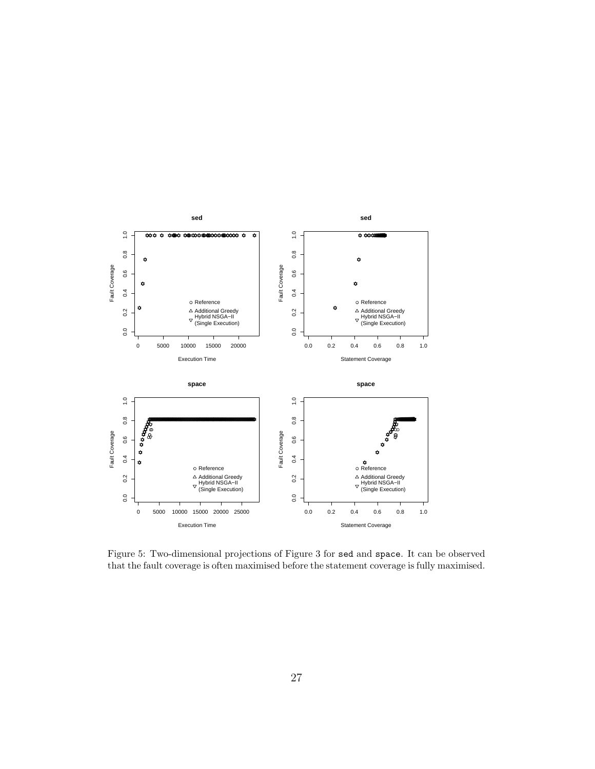

Figure 5: Two-dimensional projections of Figure 3 for sed and space. It can be observed that the fault coverage is often maximised before the statement coverage is fully maximised.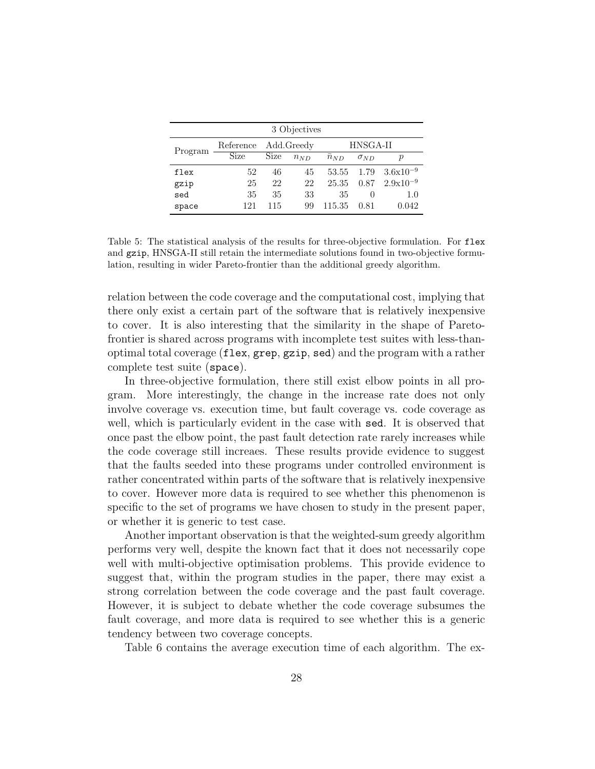| 3 Objectives |                      |      |          |                |                  |                  |  |
|--------------|----------------------|------|----------|----------------|------------------|------------------|--|
| Program      | Reference Add.Greedy |      |          | HNSGA-II       |                  |                  |  |
|              | Size                 | Size | $n_{ND}$ | $\bar{n}_{ND}$ | $\sigma_{ND}$    | $\boldsymbol{p}$ |  |
| flex         | 52                   | 46   | 45       | 53.55          | 1.79             | $3.6x10^{-9}$    |  |
| gzip         | 25                   | 22   | 22       | 25.35          | 0.87             | $2.9x10^{-9}$    |  |
| sed          | 35                   | 35   | 33       | 35             | $\left( \right)$ | 1.0              |  |
| space        | 121                  | 115  | 99       | 115.35         | 0.81             | 0.042            |  |

Table 5: The statistical analysis of the results for three-objective formulation. For flex and gzip, HNSGA-II still retain the intermediate solutions found in two-objective formulation, resulting in wider Pareto-frontier than the additional greedy algorithm.

relation between the code coverage and the computational cost, implying that there only exist a certain part of the software that is relatively inexpensive to cover. It is also interesting that the similarity in the shape of Paretofrontier is shared across programs with incomplete test suites with less-thanoptimal total coverage (flex, grep, gzip, sed) and the program with a rather complete test suite (space).

In three-objective formulation, there still exist elbow points in all program. More interestingly, the change in the increase rate does not only involve coverage vs. execution time, but fault coverage vs. code coverage as well, which is particularly evident in the case with sed. It is observed that once past the elbow point, the past fault detection rate rarely increases while the code coverage still increaes. These results provide evidence to suggest that the faults seeded into these programs under controlled environment is rather concentrated within parts of the software that is relatively inexpensive to cover. However more data is required to see whether this phenomenon is specific to the set of programs we have chosen to study in the present paper, or whether it is generic to test case.

Another important observation is that the weighted-sum greedy algorithm performs very well, despite the known fact that it does not necessarily cope well with multi-objective optimisation problems. This provide evidence to suggest that, within the program studies in the paper, there may exist a strong correlation between the code coverage and the past fault coverage. However, it is subject to debate whether the code coverage subsumes the fault coverage, and more data is required to see whether this is a generic tendency between two coverage concepts.

Table 6 contains the average execution time of each algorithm. The ex-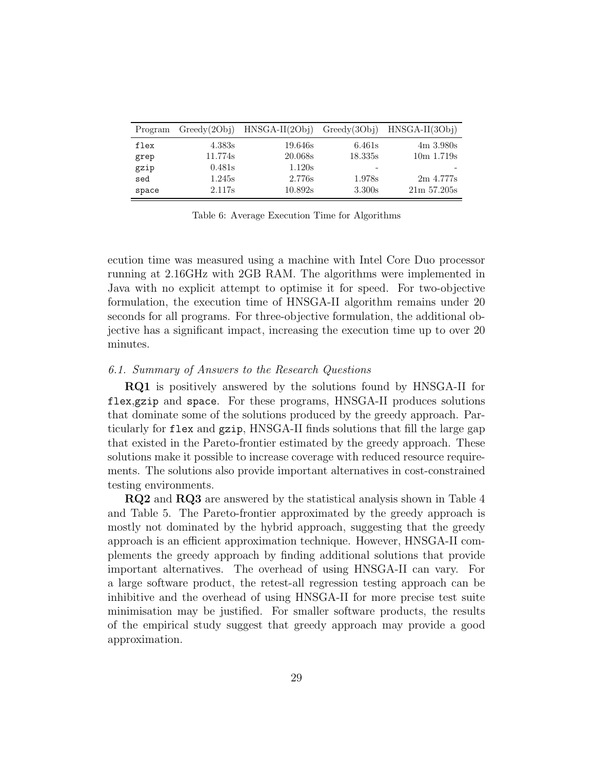| Program |         | $Greedy(2Obj)$ HNSGA-II $(2Obj)$ Greedy $(3Obj)$ HNSGA-II $(3Obj)$ |         |                       |
|---------|---------|--------------------------------------------------------------------|---------|-----------------------|
| flex    | 4.383s  | 19.646s                                                            | 6.461s  | $4m \frac{3.980s}{m}$ |
| grep    | 11.774s | 20.068s                                                            | 18.335s | $10m$ 1.719s          |
| gzip    | 0.481s  | 1.120s                                                             |         |                       |
| sed     | 1.245s  | 2.776s                                                             | 1.978s  | 2m 4.777s             |
| space   | 2.117s  | 10.892s                                                            | 3.300s  | $21m\,57.205s$        |

Table 6: Average Execution Time for Algorithms

ecution time was measured using a machine with Intel Core Duo processor running at 2.16GHz with 2GB RAM. The algorithms were implemented in Java with no explicit attempt to optimise it for speed. For two-objective formulation, the execution time of HNSGA-II algorithm remains under 20 seconds for all programs. For three-objective formulation, the additional objective has a significant impact, increasing the execution time up to over 20 minutes.

## 6.1. Summary of Answers to the Research Questions

RQ1 is positively answered by the solutions found by HNSGA-II for flex,gzip and space. For these programs, HNSGA-II produces solutions that dominate some of the solutions produced by the greedy approach. Particularly for flex and gzip, HNSGA-II finds solutions that fill the large gap that existed in the Pareto-frontier estimated by the greedy approach. These solutions make it possible to increase coverage with reduced resource requirements. The solutions also provide important alternatives in cost-constrained testing environments.

RQ2 and RQ3 are answered by the statistical analysis shown in Table 4 and Table 5. The Pareto-frontier approximated by the greedy approach is mostly not dominated by the hybrid approach, suggesting that the greedy approach is an efficient approximation technique. However, HNSGA-II complements the greedy approach by finding additional solutions that provide important alternatives. The overhead of using HNSGA-II can vary. For a large software product, the retest-all regression testing approach can be inhibitive and the overhead of using HNSGA-II for more precise test suite minimisation may be justified. For smaller software products, the results of the empirical study suggest that greedy approach may provide a good approximation.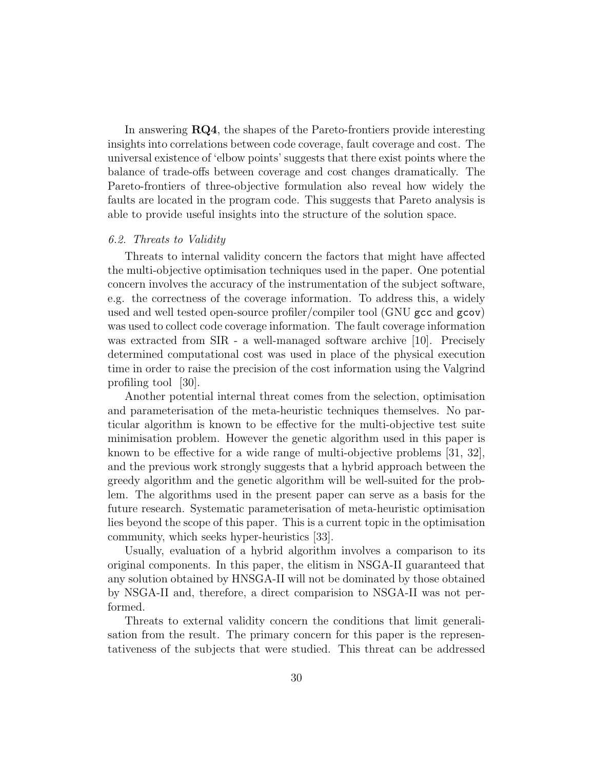In answering **RQ4**, the shapes of the Pareto-frontiers provide interesting insights into correlations between code coverage, fault coverage and cost. The universal existence of 'elbow points' suggests that there exist points where the balance of trade-offs between coverage and cost changes dramatically. The Pareto-frontiers of three-objective formulation also reveal how widely the faults are located in the program code. This suggests that Pareto analysis is able to provide useful insights into the structure of the solution space.

#### 6.2. Threats to Validity

Threats to internal validity concern the factors that might have affected the multi-objective optimisation techniques used in the paper. One potential concern involves the accuracy of the instrumentation of the subject software, e.g. the correctness of the coverage information. To address this, a widely used and well tested open-source profiler/compiler tool (GNU gcc and gcov) was used to collect code coverage information. The fault coverage information was extracted from SIR - a well-managed software archive [10]. Precisely determined computational cost was used in place of the physical execution time in order to raise the precision of the cost information using the Valgrind profiling tool [30].

Another potential internal threat comes from the selection, optimisation and parameterisation of the meta-heuristic techniques themselves. No particular algorithm is known to be effective for the multi-objective test suite minimisation problem. However the genetic algorithm used in this paper is known to be effective for a wide range of multi-objective problems [31, 32], and the previous work strongly suggests that a hybrid approach between the greedy algorithm and the genetic algorithm will be well-suited for the problem. The algorithms used in the present paper can serve as a basis for the future research. Systematic parameterisation of meta-heuristic optimisation lies beyond the scope of this paper. This is a current topic in the optimisation community, which seeks hyper-heuristics [33].

Usually, evaluation of a hybrid algorithm involves a comparison to its original components. In this paper, the elitism in NSGA-II guaranteed that any solution obtained by HNSGA-II will not be dominated by those obtained by NSGA-II and, therefore, a direct comparision to NSGA-II was not performed.

Threats to external validity concern the conditions that limit generalisation from the result. The primary concern for this paper is the representativeness of the subjects that were studied. This threat can be addressed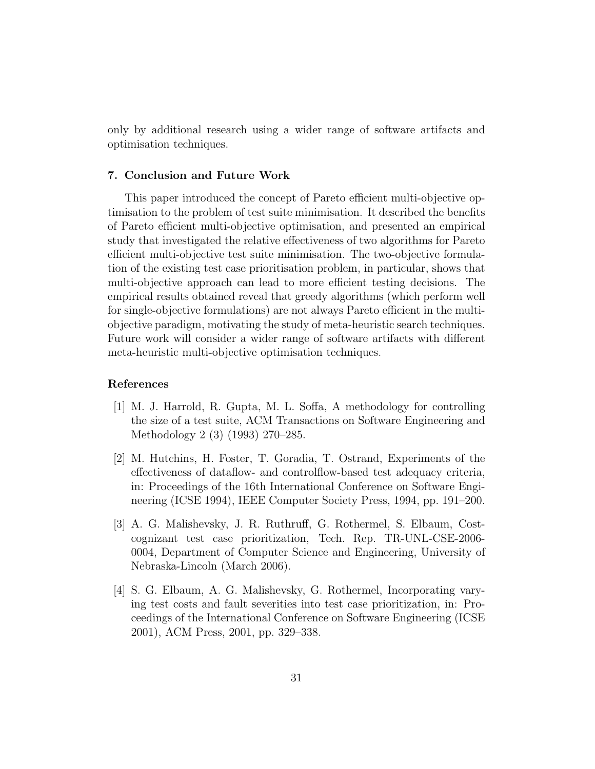only by additional research using a wider range of software artifacts and optimisation techniques.

## 7. Conclusion and Future Work

This paper introduced the concept of Pareto efficient multi-objective optimisation to the problem of test suite minimisation. It described the benefits of Pareto efficient multi-objective optimisation, and presented an empirical study that investigated the relative effectiveness of two algorithms for Pareto efficient multi-objective test suite minimisation. The two-objective formulation of the existing test case prioritisation problem, in particular, shows that multi-objective approach can lead to more efficient testing decisions. The empirical results obtained reveal that greedy algorithms (which perform well for single-objective formulations) are not always Pareto efficient in the multiobjective paradigm, motivating the study of meta-heuristic search techniques. Future work will consider a wider range of software artifacts with different meta-heuristic multi-objective optimisation techniques.

## References

- [1] M. J. Harrold, R. Gupta, M. L. Soffa, A methodology for controlling the size of a test suite, ACM Transactions on Software Engineering and Methodology 2 (3) (1993) 270–285.
- [2] M. Hutchins, H. Foster, T. Goradia, T. Ostrand, Experiments of the effectiveness of dataflow- and controlflow-based test adequacy criteria, in: Proceedings of the 16th International Conference on Software Engineering (ICSE 1994), IEEE Computer Society Press, 1994, pp. 191–200.
- [3] A. G. Malishevsky, J. R. Ruthruff, G. Rothermel, S. Elbaum, Costcognizant test case prioritization, Tech. Rep. TR-UNL-CSE-2006- 0004, Department of Computer Science and Engineering, University of Nebraska-Lincoln (March 2006).
- [4] S. G. Elbaum, A. G. Malishevsky, G. Rothermel, Incorporating varying test costs and fault severities into test case prioritization, in: Proceedings of the International Conference on Software Engineering (ICSE 2001), ACM Press, 2001, pp. 329–338.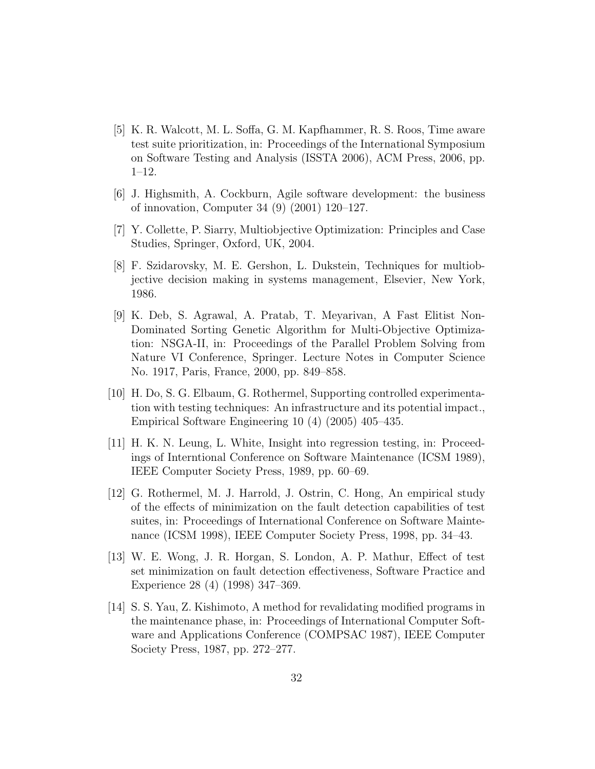- [5] K. R. Walcott, M. L. Soffa, G. M. Kapfhammer, R. S. Roos, Time aware test suite prioritization, in: Proceedings of the International Symposium on Software Testing and Analysis (ISSTA 2006), ACM Press, 2006, pp. 1–12.
- [6] J. Highsmith, A. Cockburn, Agile software development: the business of innovation, Computer 34 (9) (2001) 120–127.
- [7] Y. Collette, P. Siarry, Multiobjective Optimization: Principles and Case Studies, Springer, Oxford, UK, 2004.
- [8] F. Szidarovsky, M. E. Gershon, L. Dukstein, Techniques for multiobjective decision making in systems management, Elsevier, New York, 1986.
- [9] K. Deb, S. Agrawal, A. Pratab, T. Meyarivan, A Fast Elitist Non-Dominated Sorting Genetic Algorithm for Multi-Objective Optimization: NSGA-II, in: Proceedings of the Parallel Problem Solving from Nature VI Conference, Springer. Lecture Notes in Computer Science No. 1917, Paris, France, 2000, pp. 849–858.
- [10] H. Do, S. G. Elbaum, G. Rothermel, Supporting controlled experimentation with testing techniques: An infrastructure and its potential impact., Empirical Software Engineering 10 (4) (2005) 405–435.
- [11] H. K. N. Leung, L. White, Insight into regression testing, in: Proceedings of Interntional Conference on Software Maintenance (ICSM 1989), IEEE Computer Society Press, 1989, pp. 60–69.
- [12] G. Rothermel, M. J. Harrold, J. Ostrin, C. Hong, An empirical study of the effects of minimization on the fault detection capabilities of test suites, in: Proceedings of International Conference on Software Maintenance (ICSM 1998), IEEE Computer Society Press, 1998, pp. 34–43.
- [13] W. E. Wong, J. R. Horgan, S. London, A. P. Mathur, Effect of test set minimization on fault detection effectiveness, Software Practice and Experience 28 (4) (1998) 347–369.
- [14] S. S. Yau, Z. Kishimoto, A method for revalidating modified programs in the maintenance phase, in: Proceedings of International Computer Software and Applications Conference (COMPSAC 1987), IEEE Computer Society Press, 1987, pp. 272–277.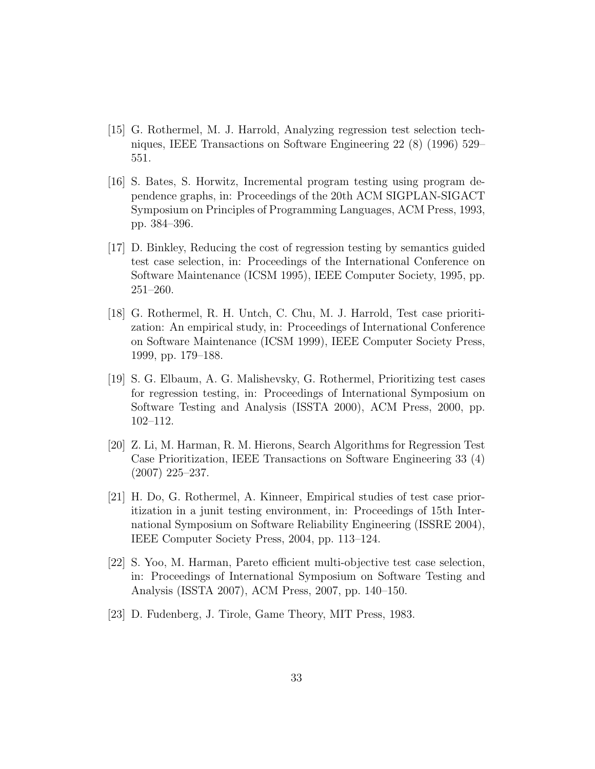- [15] G. Rothermel, M. J. Harrold, Analyzing regression test selection techniques, IEEE Transactions on Software Engineering 22 (8) (1996) 529– 551.
- [16] S. Bates, S. Horwitz, Incremental program testing using program dependence graphs, in: Proceedings of the 20th ACM SIGPLAN-SIGACT Symposium on Principles of Programming Languages, ACM Press, 1993, pp. 384–396.
- [17] D. Binkley, Reducing the cost of regression testing by semantics guided test case selection, in: Proceedings of the International Conference on Software Maintenance (ICSM 1995), IEEE Computer Society, 1995, pp. 251–260.
- [18] G. Rothermel, R. H. Untch, C. Chu, M. J. Harrold, Test case prioritization: An empirical study, in: Proceedings of International Conference on Software Maintenance (ICSM 1999), IEEE Computer Society Press, 1999, pp. 179–188.
- [19] S. G. Elbaum, A. G. Malishevsky, G. Rothermel, Prioritizing test cases for regression testing, in: Proceedings of International Symposium on Software Testing and Analysis (ISSTA 2000), ACM Press, 2000, pp. 102–112.
- [20] Z. Li, M. Harman, R. M. Hierons, Search Algorithms for Regression Test Case Prioritization, IEEE Transactions on Software Engineering 33 (4) (2007) 225–237.
- [21] H. Do, G. Rothermel, A. Kinneer, Empirical studies of test case prioritization in a junit testing environment, in: Proceedings of 15th International Symposium on Software Reliability Engineering (ISSRE 2004), IEEE Computer Society Press, 2004, pp. 113–124.
- [22] S. Yoo, M. Harman, Pareto efficient multi-objective test case selection, in: Proceedings of International Symposium on Software Testing and Analysis (ISSTA 2007), ACM Press, 2007, pp. 140–150.
- [23] D. Fudenberg, J. Tirole, Game Theory, MIT Press, 1983.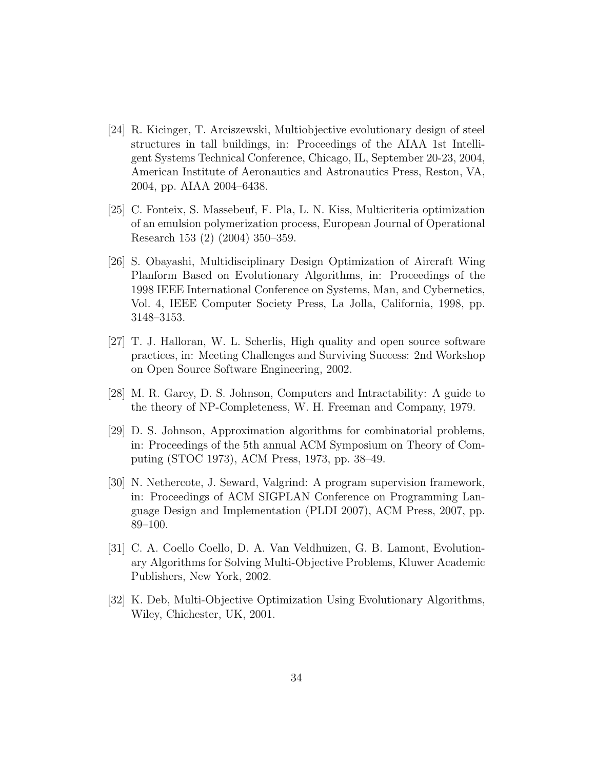- [24] R. Kicinger, T. Arciszewski, Multiobjective evolutionary design of steel structures in tall buildings, in: Proceedings of the AIAA 1st Intelligent Systems Technical Conference, Chicago, IL, September 20-23, 2004, American Institute of Aeronautics and Astronautics Press, Reston, VA, 2004, pp. AIAA 2004–6438.
- [25] C. Fonteix, S. Massebeuf, F. Pla, L. N. Kiss, Multicriteria optimization of an emulsion polymerization process, European Journal of Operational Research 153 (2) (2004) 350–359.
- [26] S. Obayashi, Multidisciplinary Design Optimization of Aircraft Wing Planform Based on Evolutionary Algorithms, in: Proceedings of the 1998 IEEE International Conference on Systems, Man, and Cybernetics, Vol. 4, IEEE Computer Society Press, La Jolla, California, 1998, pp. 3148–3153.
- [27] T. J. Halloran, W. L. Scherlis, High quality and open source software practices, in: Meeting Challenges and Surviving Success: 2nd Workshop on Open Source Software Engineering, 2002.
- [28] M. R. Garey, D. S. Johnson, Computers and Intractability: A guide to the theory of NP-Completeness, W. H. Freeman and Company, 1979.
- [29] D. S. Johnson, Approximation algorithms for combinatorial problems, in: Proceedings of the 5th annual ACM Symposium on Theory of Computing (STOC 1973), ACM Press, 1973, pp. 38–49.
- [30] N. Nethercote, J. Seward, Valgrind: A program supervision framework, in: Proceedings of ACM SIGPLAN Conference on Programming Language Design and Implementation (PLDI 2007), ACM Press, 2007, pp. 89–100.
- [31] C. A. Coello Coello, D. A. Van Veldhuizen, G. B. Lamont, Evolutionary Algorithms for Solving Multi-Objective Problems, Kluwer Academic Publishers, New York, 2002.
- [32] K. Deb, Multi-Objective Optimization Using Evolutionary Algorithms, Wiley, Chichester, UK, 2001.